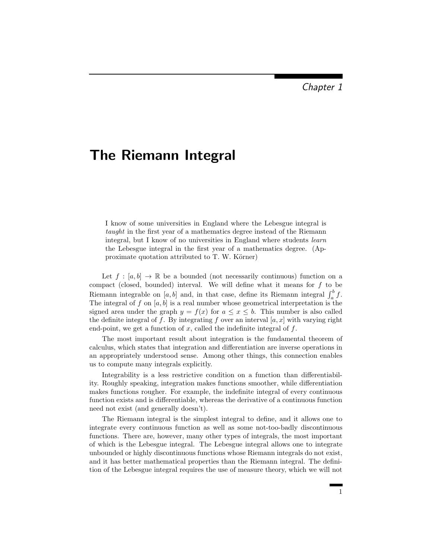# The Riemann Integral

I know of some universities in England where the Lebesgue integral is taught in the first year of a mathematics degree instead of the Riemann integral, but I know of no universities in England where students learn the Lebesgue integral in the first year of a mathematics degree. (Approximate quotation attributed to  $T$ . W. Körner)

Let  $f : [a, b] \to \mathbb{R}$  be a bounded (not necessarily continuous) function on a compact (closed, bounded) interval. We will define what it means for  $f$  to be Riemann integrable on [a, b] and, in that case, define its Riemann integral  $\int_a^b f$ . The integral of f on  $[a, b]$  is a real number whose geometrical interpretation is the signed area under the graph  $y = f(x)$  for  $a \leq x \leq b$ . This number is also called the definite integral of f. By integrating f over an interval  $[a, x]$  with varying right end-point, we get a function of  $x$ , called the indefinite integral of  $f$ .

The most important result about integration is the fundamental theorem of calculus, which states that integration and differentiation are inverse operations in an appropriately understood sense. Among other things, this connection enables us to compute many integrals explicitly.

Integrability is a less restrictive condition on a function than differentiability. Roughly speaking, integration makes functions smoother, while differentiation makes functions rougher. For example, the indefinite integral of every continuous function exists and is differentiable, whereas the derivative of a continuous function need not exist (and generally doesn't).

The Riemann integral is the simplest integral to define, and it allows one to integrate every continuous function as well as some not-too-badly discontinuous functions. There are, however, many other types of integrals, the most important of which is the Lebesgue integral. The Lebesgue integral allows one to integrate unbounded or highly discontinuous functions whose Riemann integrals do not exist, and it has better mathematical properties than the Riemann integral. The definition of the Lebesgue integral requires the use of measure theory, which we will not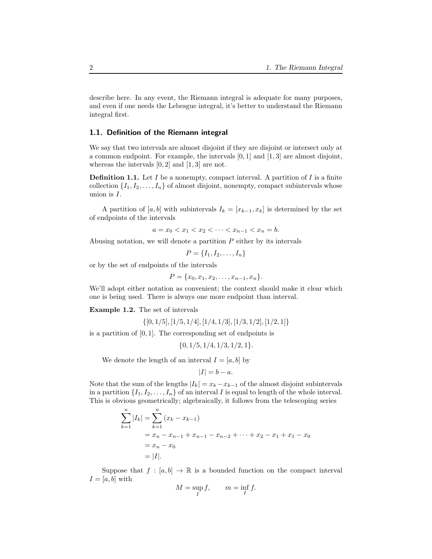describe here. In any event, the Riemann integral is adequate for many purposes, and even if one needs the Lebesgue integral, it's better to understand the Riemann integral first.

# 1.1. Definition of the Riemann integral

We say that two intervals are almost disjoint if they are disjoint or intersect only at a common endpoint. For example, the intervals  $[0, 1]$  and  $[1, 3]$  are almost disjoint, whereas the intervals  $[0, 2]$  and  $[1, 3]$  are not.

**Definition 1.1.** Let  $I$  be a nonempty, compact interval. A partition of  $I$  is a finite collection  $\{I_1, I_2, \ldots, I_n\}$  of almost disjoint, nonempty, compact subintervals whose union is I.

A partition of [a, b] with subintervals  $I_k = [x_{k-1}, x_k]$  is determined by the set of endpoints of the intervals

$$
a = x_0 < x_1 < x_2 < \dots < x_{n-1} < x_n = b.
$$

Abusing notation, we will denote a partition  $P$  either by its intervals

 $P = \{I_1, I_2, \ldots, I_n\}$ 

or by the set of endpoints of the intervals

$$
P = \{x_0, x_1, x_2, \dots, x_{n-1}, x_n\}.
$$

We'll adopt either notation as convenient; the context should make it clear which one is being used. There is always one more endpoint than interval.

Example 1.2. The set of intervals

 $\{[0, 1/5], [1/5, 1/4], [1/4, 1/3], [1/3, 1/2], [1/2, 1]\}$ 

is a partition of  $[0, 1]$ . The corresponding set of endpoints is

 $\{0, 1/5, 1/4, 1/3, 1/2, 1\}.$ 

We denote the length of an interval  $I = [a, b]$  by

$$
|I|=b-a.
$$

Note that the sum of the lengths  $|I_k| = x_k - x_{k-1}$  of the almost disjoint subintervals in a partition  $\{I_1, I_2, \ldots, I_n\}$  of an interval I is equal to length of the whole interval. This is obvious geometrically; algebraically, it follows from the telescoping series

$$
\sum_{k=1}^{n} |I_k| = \sum_{k=1}^{n} (x_k - x_{k-1})
$$
  
=  $x_n - x_{n-1} + x_{n-1} - x_{n-2} + \dots + x_2 - x_1 + x_1 - x_0$   
=  $x_n - x_0$   
= |I|.

Suppose that  $f : [a, b] \to \mathbb{R}$  is a bounded function on the compact interval  $I = [a, b]$  with

$$
M = \sup_I f, \qquad m = \inf_I f.
$$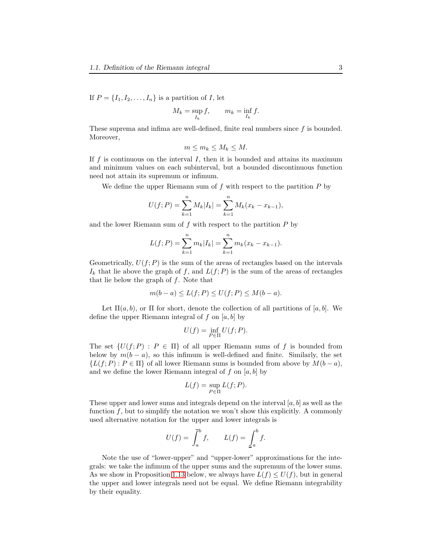If  $P = \{I_1, I_2, \ldots, I_n\}$  is a partition of I, let

$$
M_k = \sup_{I_k} f, \qquad m_k = \inf_{I_k} f.
$$

These suprema and infima are well-defined, finite real numbers since  $f$  is bounded. Moreover,

$$
m \le m_k \le M_k \le M.
$$

If  $f$  is continuous on the interval  $I$ , then it is bounded and attains its maximum and minimum values on each subinterval, but a bounded discontinuous function need not attain its supremum or infimum.

We define the upper Riemann sum of  $f$  with respect to the partition  $P$  by

$$
U(f; P) = \sum_{k=1}^{n} M_k |I_k| = \sum_{k=1}^{n} M_k (x_k - x_{k-1}),
$$

and the lower Riemann sum of  $f$  with respect to the partition  $P$  by

$$
L(f; P) = \sum_{k=1}^{n} m_k |I_k| = \sum_{k=1}^{n} m_k (x_k - x_{k-1}).
$$

Geometrically,  $U(f; P)$  is the sum of the areas of rectangles based on the intervals  $I_k$  that lie above the graph of f, and  $L(f; P)$  is the sum of the areas of rectangles that lie below the graph of  $f$ . Note that

$$
m(b-a) \le L(f;P) \le U(f;P) \le M(b-a).
$$

Let  $\Pi(a, b)$ , or  $\Pi$  for short, denote the collection of all partitions of [a, b]. We define the upper Riemann integral of f on  $[a, b]$  by

$$
U(f) = \inf_{P \in \Pi} U(f; P).
$$

The set  $\{U(f; P) : P \in \Pi\}$  of all upper Riemann sums of f is bounded from below by  $m(b - a)$ , so this infimum is well-defined and finite. Similarly, the set  ${L(f; P) : P \in \Pi}$  of all lower Riemann sums is bounded from above by  $M(b - a)$ , and we define the lower Riemann integral of f on  $[a, b]$  by

$$
L(f) = \sup_{P \in \Pi} L(f; P).
$$

These upper and lower sums and integrals depend on the interval  $[a, b]$  as well as the function  $f$ , but to simplify the notation we won't show this explicitly. A commonly used alternative notation for the upper and lower integrals is

$$
U(f) = \int_a^b f, \qquad L(f) = \underline{\int}_a^b f.
$$

Note the use of "lower-upper" and "upper-lower" approximations for the integrals: we take the infimum of the upper sums and the supremum of the lower sums. As we show in Proposition [1.13](#page-7-0) below, we always have  $L(f) \leq U(f)$ , but in general the upper and lower integrals need not be equal. We define Riemann integrability by their equality.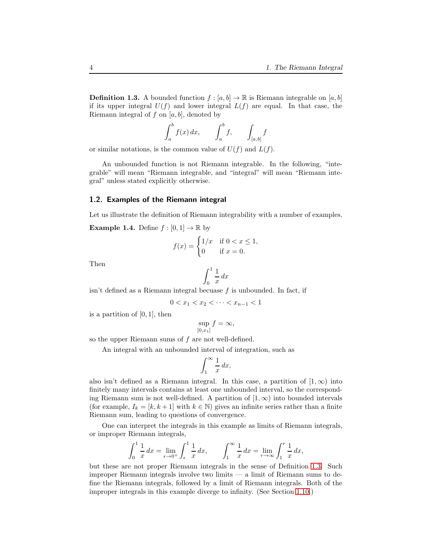<span id="page-3-0"></span>**Definition 1.3.** A bounded function  $f : [a, b] \to \mathbb{R}$  is Riemann integrable on  $[a, b]$ if its upper integral  $U(f)$  and lower integral  $L(f)$  are equal. In that case, the Riemann integral of  $f$  on  $[a, b]$ , denoted by

$$
\int_a^b f(x) dx, \qquad \int_a^b f, \qquad \int_{[a,b]} f
$$

or similar notations, is the common value of  $U(f)$  and  $L(f)$ .

An unbounded function is not Riemann integrable. In the following, "integrable" will mean "Riemann integrable, and "integral" will mean "Riemann integral" unless stated explicitly otherwise.

## 1.2. Examples of the Riemann integral

Let us illustrate the definition of Riemann integrability with a number of examples.

**Example 1.4.** Define  $f : [0, 1] \to \mathbb{R}$  by

$$
f(x) = \begin{cases} 1/x & \text{if } 0 < x \le 1, \\ 0 & \text{if } x = 0. \end{cases}
$$

Then

$$
\int_0^1 \frac{1}{x} \, dx
$$

isn't defined as a Riemann integral becuase  $f$  is unbounded. In fact, if

$$
0 < x_1 < x_2 < \dots < x_{n-1} < 1
$$

is a partition of  $[0, 1]$ , then

$$
\sup_{[0,x_1]} f = \infty,
$$

so the upper Riemann sums of f are not well-defined.

An integral with an unbounded interval of integration, such as

$$
\int_1^\infty \frac{1}{x} \, dx,
$$

also isn't defined as a Riemann integral. In this case, a partition of  $(1,\infty)$  into finitely many intervals contains at least one unbounded interval, so the corresponding Riemann sum is not well-defined. A partition of  $[1,\infty)$  into bounded intervals (for example,  $I_k = [k, k+1]$  with  $k \in \mathbb{N}$ ) gives an infinite series rather than a finite Riemann sum, leading to questions of convergence.

One can interpret the integrals in this example as limits of Riemann integrals, or improper Riemann integrals,

$$
\int_0^1 \frac{1}{x} \, dx = \lim_{\epsilon \to 0^+} \int_{\epsilon}^1 \frac{1}{x} \, dx, \qquad \int_1^\infty \frac{1}{x} \, dx = \lim_{r \to \infty} \int_1^r \frac{1}{x} \, dx,
$$

but these are not proper Riemann integrals in the sense of Definition [1.3.](#page-3-0) Such improper Riemann integrals involve two limits — a limit of Riemann sums to define the Riemann integrals, followed by a limit of Riemann integrals. Both of the improper integrals in this example diverge to infinity. (See Section [1.10.](#page-39-0))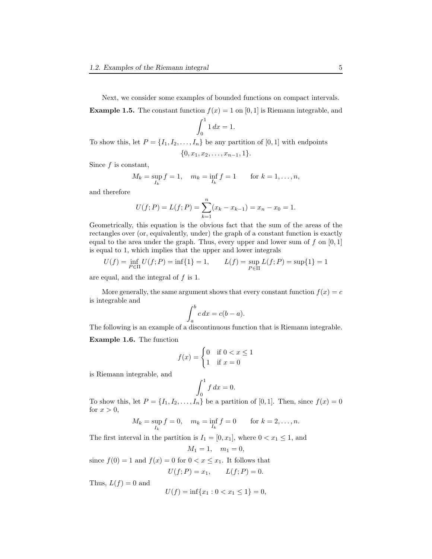Next, we consider some examples of bounded functions on compact intervals. **Example 1.5.** The constant function  $f(x) = 1$  on [0, 1] is Riemann integrable, and

$$
\int_0^1 1 \, dx = 1.
$$

To show this, let  $P = \{I_1, I_2, \ldots, I_n\}$  be any partition of [0, 1] with endpoints

$$
\{0, x_1, x_2, \ldots, x_{n-1}, 1\}.
$$

Since  $f$  is constant,

$$
M_k = \sup_{I_k} f = 1
$$
,  $m_k = \inf_{I_k} f = 1$  for  $k = 1, ..., n$ ,

and therefore

$$
U(f; P) = L(f; P) = \sum_{k=1}^{n} (x_k - x_{k-1}) = x_n - x_0 = 1.
$$

Geometrically, this equation is the obvious fact that the sum of the areas of the rectangles over (or, equivalently, under) the graph of a constant function is exactly equal to the area under the graph. Thus, every upper and lower sum of f on  $[0, 1]$ is equal to 1, which implies that the upper and lower integrals

$$
U(f) = \inf_{P \in \Pi} U(f; P) = \inf\{1\} = 1, \qquad L(f) = \sup_{P \in \Pi} L(f; P) = \sup\{1\} = 1
$$

are equal, and the integral of  $f$  is 1.

More generally, the same argument shows that every constant function  $f(x) = c$ is integrable and

$$
\int_{a}^{b} c \, dx = c(b-a).
$$

The following is an example of a discontinuous function that is Riemann integrable.

<span id="page-4-0"></span>Example 1.6. The function

$$
f(x) = \begin{cases} 0 & \text{if } 0 < x \le 1 \\ 1 & \text{if } x = 0 \end{cases}
$$

is Riemann integrable, and

$$
\int_0^1 f \, dx = 0.
$$

To show this, let  $P = \{I_1, I_2, \ldots, I_n\}$  be a partition of [0, 1]. Then, since  $f(x) = 0$ for  $x > 0$ ,

$$
M_k = \sup_{I_k} f = 0
$$
,  $m_k = \inf_{I_k} f = 0$  for  $k = 2,..., n$ .

The first interval in the partition is  $I_1 = [0, x_1]$ , where  $0 < x_1 \leq 1$ , and

$$
M_1 = 1, \quad m_1 = 0,
$$

since  $f(0) = 1$  and  $f(x) = 0$  for  $0 < x \leq x_1$ . It follows that

$$
U(f;P) = x_1, \qquad L(f;P) = 0.
$$

Thus,  $L(f) = 0$  and

$$
U(f) = \inf\{x_1 : 0 < x_1 \le 1\} = 0,
$$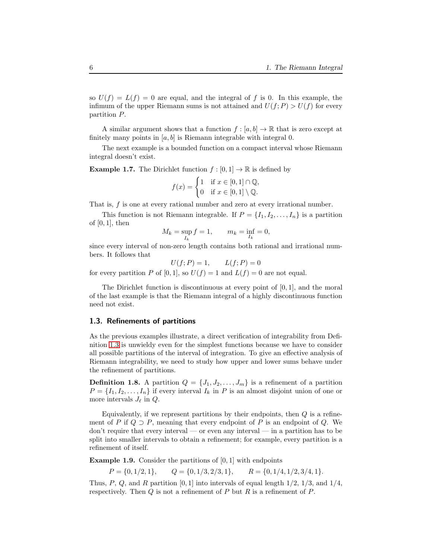so  $U(f) = L(f) = 0$  are equal, and the integral of f is 0. In this example, the infimum of the upper Riemann sums is not attained and  $U(f; P) > U(f)$  for every partition P.

A similar argument shows that a function  $f : [a, b] \to \mathbb{R}$  that is zero except at finitely many points in  $[a, b]$  is Riemann integrable with integral 0.

The next example is a bounded function on a compact interval whose Riemann integral doesn't exist.

<span id="page-5-1"></span>**Example 1.7.** The Dirichlet function  $f : [0, 1] \rightarrow \mathbb{R}$  is defined by

$$
f(x) = \begin{cases} 1 & \text{if } x \in [0,1] \cap \mathbb{Q}, \\ 0 & \text{if } x \in [0,1] \setminus \mathbb{Q}. \end{cases}
$$

That is, f is one at every rational number and zero at every irrational number.

This function is not Riemann integrable. If  $P = \{I_1, I_2, \ldots, I_n\}$  is a partition of  $[0, 1]$ , then

$$
M_k = \sup_{I_k} f = 1, \qquad m_k = \inf_{I_k} = 0,
$$

since every interval of non-zero length contains both rational and irrational numbers. It follows that

$$
U(f; P) = 1, \qquad L(f; P) = 0
$$
  
for every partition P of [0, 1], so  $U(f) = 1$  and  $L(f) = 0$  are not equal.

The Dirichlet function is discontinuous at every point of [0, 1], and the moral of the last example is that the Riemann integral of a highly discontinuous function need not exist.

## 1.3. Refinements of partitions

As the previous examples illustrate, a direct verification of integrability from Definition [1.3](#page-3-0) is unwieldy even for the simplest functions because we have to consider all possible partitions of the interval of integration. To give an effective analysis of Riemann integrability, we need to study how upper and lower sums behave under the refinement of partitions.

**Definition 1.8.** A partition  $Q = \{J_1, J_2, \ldots, J_m\}$  is a refinement of a partition  $P = \{I_1, I_2, \ldots, I_n\}$  if every interval  $I_k$  in P is an almost disjoint union of one or more intervals  $J_{\ell}$  in  $Q$ .

Equivalently, if we represent partitions by their endpoints, then  $Q$  is a refinement of P if  $Q \supset P$ , meaning that every endpoint of P is an endpoint of Q. We don't require that every interval — or even any interval — in a partition has to be split into smaller intervals to obtain a refinement; for example, every partition is a refinement of itself.

<span id="page-5-0"></span>**Example 1.9.** Consider the partitions of  $[0, 1]$  with endpoints

$$
P = \{0, 1/2, 1\},
$$
  $Q = \{0, 1/3, 2/3, 1\},$   $R = \{0, 1/4, 1/2, 3/4, 1\}.$ 

Thus, P, Q, and R partition [0, 1] into intervals of equal length  $1/2$ ,  $1/3$ , and  $1/4$ , respectively. Then  $Q$  is not a refinement of  $P$  but  $R$  is a refinement of  $P$ .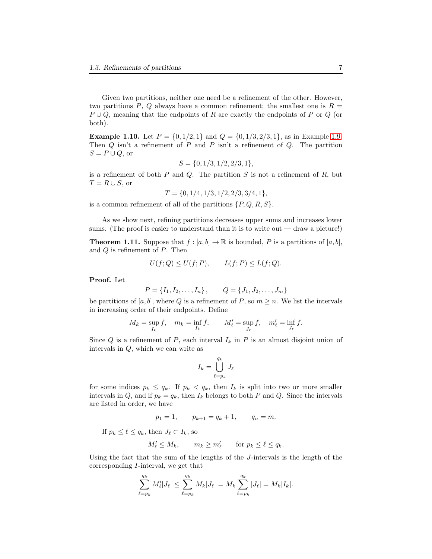Given two partitions, neither one need be a refinement of the other. However, two partitions P, Q always have a common refinement; the smallest one is  $R =$  $P \cup Q$ , meaning that the endpoints of R are exactly the endpoints of P or Q (or both).

**Example 1.10.** Let  $P = \{0, 1/2, 1\}$  and  $Q = \{0, 1/3, 2/3, 1\}$ , as in Example [1.9.](#page-5-0) Then  $Q$  isn't a refinement of  $P$  and  $P$  isn't a refinement of  $Q$ . The partition  $S = P \cup Q$ , or

$$
S = \{0, 1/3, 1/2, 2/3, 1\},\
$$

is a refinement of both  $P$  and  $Q$ . The partition  $S$  is not a refinement of  $R$ , but  $T = R \cup S$ , or

 $T = \{0, 1/4, 1/3, 1/2, 2/3, 3/4, 1\},\$ 

is a common refinement of all of the partitions  $\{P, Q, R, S\}.$ 

As we show next, refining partitions decreases upper sums and increases lower sums. (The proof is easier to understand than it is to write out — draw a picture!)

<span id="page-6-0"></span>**Theorem 1.11.** Suppose that  $f : [a, b] \to \mathbb{R}$  is bounded, P is a partitions of  $[a, b]$ , and Q is refinement of P. Then

$$
U(f;Q) \le U(f;P), \qquad L(f;P) \le L(f;Q).
$$

Proof. Let

$$
P = \{I_1, I_2, \dots, I_n\}, \qquad Q = \{J_1, J_2, \dots, J_m\}
$$

be partitions of [a, b], where Q is a refinement of P, so  $m \geq n$ . We list the intervals in increasing order of their endpoints. Define

$$
M_k = \sup_{I_k} f, \quad m_k = \inf_{I_k} f, \qquad M'_\ell = \sup_{J_\ell} f, \quad m'_\ell = \inf_{J_\ell} f.
$$

Since Q is a refinement of P, each interval  $I_k$  in P is an almost disjoint union of intervals in Q, which we can write as

$$
I_k = \bigcup_{\ell=p_k}^{q_k} J_\ell
$$

for some indices  $p_k \le q_k$ . If  $p_k < q_k$ , then  $I_k$  is split into two or more smaller intervals in Q, and if  $p_k = q_k$ , then  $I_k$  belongs to both P and Q. Since the intervals are listed in order, we have

$$
p_1 = 1
$$
,  $p_{k+1} = q_k + 1$ ,  $q_n = m$ .

If  $p_k \leq \ell \leq q_k$ , then  $J_\ell \subset I_k$ , so

$$
M'_{\ell} \leq M_k
$$
,  $m_k \geq m'_{\ell}$  for  $p_k \leq \ell \leq q_k$ .

Using the fact that the sum of the lengths of the J-intervals is the length of the corresponding I-interval, we get that

$$
\sum_{\ell=p_k}^{q_k} M'_{\ell} |J_{\ell}| \leq \sum_{\ell=p_k}^{q_k} M_k |J_{\ell}| = M_k \sum_{\ell=p_k}^{q_k} |J_{\ell}| = M_k |I_k|.
$$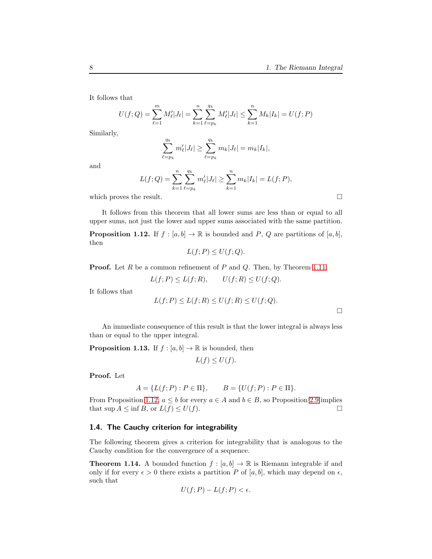It follows that

$$
U(f; Q) = \sum_{\ell=1}^{m} M_{\ell}' |J_{\ell}| = \sum_{k=1}^{n} \sum_{\ell=p_k}^{q_k} M_{\ell}' |J_{\ell}| \le \sum_{k=1}^{n} M_k |I_k| = U(f; P)
$$

Similarly,

$$
\sum_{\ell=p_k}^{q_k} m'_{\ell} |J_{\ell}| \geq \sum_{\ell=p_k}^{q_k} m_k |J_{\ell}| = m_k |I_k|,
$$

and

$$
L(f; Q) = \sum_{k=1}^{n} \sum_{\ell=p_k}^{q_k} m'_{\ell} |J_{\ell}| \ge \sum_{k=1}^{n} m_k |I_k| = L(f; P),
$$

which proves the result.  $\Box$ 

It follows from this theorem that all lower sums are less than or equal to all upper sums, not just the lower and upper sums associated with the same partition.

<span id="page-7-1"></span>**Proposition 1.12.** If  $f : [a, b] \to \mathbb{R}$  is bounded and P, Q are partitions of  $[a, b]$ , then

$$
L(f;P) \le U(f;Q).
$$

**Proof.** Let R be a common refinement of P and Q. Then, by Theorem [1.11,](#page-6-0)

$$
L(f; P) \le L(f; R), \qquad U(f; R) \le U(f; Q).
$$

It follows that

$$
L(f; P) \le L(f; R) \le U(f; R) \le U(f; Q).
$$

 $\Box$ 

An immediate consequence of this result is that the lower integral is always less than or equal to the upper integral.

<span id="page-7-0"></span>**Proposition 1.13.** If  $f : [a, b] \to \mathbb{R}$  is bounded, then

$$
L(f) \le U(f).
$$

Proof. Let

$$
A = \{L(f; P) : P \in \Pi\}, \qquad B = \{U(f; P) : P \in \Pi\}.
$$

From Proposition [1.12,](#page-7-1)  $a \leq b$  for every  $a \in A$  and  $b \in B$ , so Proposition 2.9 implies that sup  $A \leq \inf B$ , or  $L(f) \leq U(f)$ . □ that  $\sup A \leq \inf B$ , or  $L(f) \leq U(f)$ .

## 1.4. The Cauchy criterion for integrability

The following theorem gives a criterion for integrability that is analogous to the Cauchy condition for the convergence of a sequence.

<span id="page-7-2"></span>**Theorem 1.14.** A bounded function  $f : [a, b] \to \mathbb{R}$  is Riemann integrable if and only if for every  $\epsilon > 0$  there exists a partition P of [a, b], which may depend on  $\epsilon$ , such that

$$
U(f;P) - L(f;P) < \epsilon.
$$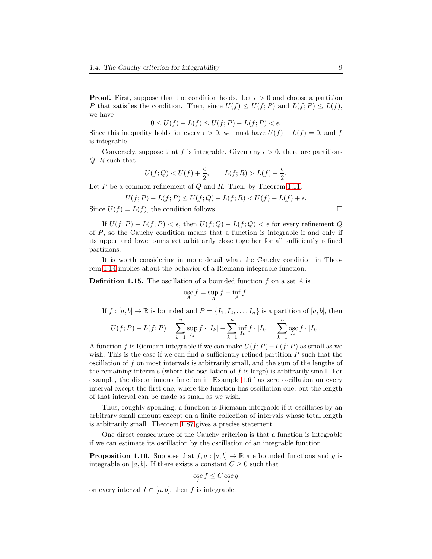**Proof.** First, suppose that the condition holds. Let  $\epsilon > 0$  and choose a partition P that satisfies the condition. Then, since  $U(f) \leq U(f; P)$  and  $L(f; P) \leq L(f)$ , we have

$$
0 \le U(f) - L(f) \le U(f; P) - L(f; P) < \epsilon.
$$

Since this inequality holds for every  $\epsilon > 0$ , we must have  $U(f) - L(f) = 0$ , and f is integrable.

Conversely, suppose that f is integrable. Given any  $\epsilon > 0$ , there are partitions Q, R such that

$$
U(f;Q) < U(f) + \frac{\epsilon}{2}, \qquad L(f;R) > L(f) - \frac{\epsilon}{2}.
$$

Let  $P$  be a common refinement of  $Q$  and  $R$ . Then, by Theorem [1.11,](#page-6-0)

$$
U(f; P) - L(f; P) \le U(f; Q) - L(f; R) < U(f) - L(f) + \epsilon.
$$

Since  $U(f) = L(f)$ , the condition follows.

If  $U(f; P) - L(f; P) < \epsilon$ , then  $U(f; Q) - L(f; Q) < \epsilon$  for every refinement Q of P, so the Cauchy condition means that a function is integrable if and only if its upper and lower sums get arbitrarily close together for all sufficiently refined partitions.

It is worth considering in more detail what the Cauchy condition in Theorem [1.14](#page-7-2) implies about the behavior of a Riemann integrable function.

**Definition 1.15.** The oscillation of a bounded function f on a set A is

$$
\underset{A}{\operatorname{osc}} f = \sup_{A} f - \inf_{A} f.
$$

If  $f : [a, b] \to \mathbb{R}$  is bounded and  $P = \{I_1, I_2, \ldots, I_n\}$  is a partition of  $[a, b]$ , then

$$
U(f;P) - L(f;P) = \sum_{k=1}^{n} \sup_{I_k} f \cdot |I_k| - \sum_{k=1}^{n} \inf_{I_k} f \cdot |I_k| = \sum_{k=1}^{n} \operatorname{osc}_{I_k} f \cdot |I_k|.
$$

A function f is Riemann integrable if we can make  $U(f; P) - L(f; P)$  as small as we wish. This is the case if we can find a sufficiently refined partition  $P$  such that the oscillation of f on most intervals is arbitrarily small, and the sum of the lengths of the remaining intervals (where the oscillation of  $f$  is large) is arbitrarily small. For example, the discontinuous function in Example [1.6](#page-4-0) has zero oscillation on every interval except the first one, where the function has oscillation one, but the length of that interval can be made as small as we wish.

Thus, roughly speaking, a function is Riemann integrable if it oscillates by an arbitrary small amount except on a finite collection of intervals whose total length is arbitrarily small. Theorem [1.87](#page-51-0) gives a precise statement.

One direct consequence of the Cauchy criterion is that a function is integrable if we can estimate its oscillation by the oscillation of an integrable function.

<span id="page-8-0"></span>**Proposition 1.16.** Suppose that  $f, g : [a, b] \to \mathbb{R}$  are bounded functions and g is integrable on [a, b]. If there exists a constant  $C \geq 0$  such that

$$
\underset{I}{\mathrm{osc}}\,f \leq C\,\underset{I}{\mathrm{osc}}\,g
$$

on every interval  $I \subset [a, b]$ , then f is integrable.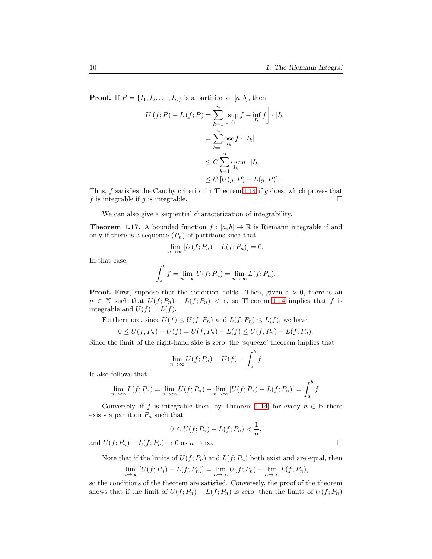**Proof.** If  $P = \{I_1, I_2, \ldots, I_n\}$  is a partition of [a, b], then

$$
U(f; P) - L(f; P) = \sum_{k=1}^{n} \left[ \sup_{I_k} f - \inf_{I_k} f \right] \cdot |I_k|
$$
  
= 
$$
\sum_{k=1}^{n} \operatorname{osc}_{I_k} f \cdot |I_k|
$$
  

$$
\leq C \sum_{k=1}^{n} \operatorname{osc}_{I_k} g \cdot |I_k|
$$
  

$$
\leq C \left[ U(g; P) - L(g; P) \right].
$$

Thus,  $f$  satisfies the Cauchy criterion in Theorem [1.14](#page-7-2) if  $g$  does, which proves that f is integrable if g is integrable.

We can also give a sequential characterization of integrability.

<span id="page-9-0"></span>**Theorem 1.17.** A bounded function  $f : [a, b] \to \mathbb{R}$  is Riemann integrable if and only if there is a sequence  $(P_n)$  of partitions such that

$$
\lim_{n \to \infty} [U(f; P_n) - L(f; P_n)] = 0.
$$

In that case,

$$
\int_a^b f = \lim_{n \to \infty} U(f; P_n) = \lim_{n \to \infty} L(f; P_n).
$$

**Proof.** First, suppose that the condition holds. Then, given  $\epsilon > 0$ , there is an  $n \in \mathbb{N}$  such that  $U(f; P_n) - L(f; P_n) < \epsilon$ , so Theorem [1.14](#page-7-2) implies that f is integrable and  $U(f) = L(f)$ .

Furthermore, since  $U(f) \leq U(f; P_n)$  and  $L(f; P_n) \leq L(f)$ , we have

$$
0 \le U(f; P_n) - U(f) = U(f; P_n) - L(f) \le U(f; P_n) - L(f; P_n).
$$

Since the limit of the right-hand side is zero, the 'squeeze' theorem implies that

$$
\lim_{n \to \infty} U(f; P_n) = U(f) = \int_a^b f
$$

It also follows that

$$
\lim_{n \to \infty} L(f; P_n) = \lim_{n \to \infty} U(f; P_n) - \lim_{n \to \infty} [U(f; P_n) - L(f; P_n)] = \int_a^b f.
$$

Conversely, if f is integrable then, by Theorem [1.14,](#page-7-2) for every  $n \in \mathbb{N}$  there exists a partition  $P_n$  such that

$$
0 \le U(f; P_n) - L(f; P_n) < \frac{1}{n},
$$

and  $U(f; P_n) - L(f; P_n) \to 0$  as  $n \to \infty$ .

Note that if the limits of  $U(f; P_n)$  and  $L(f; P_n)$  both exist and are equal, then

$$
\lim_{n \to \infty} [U(f; P_n) - L(f; P_n)] = \lim_{n \to \infty} U(f; P_n) - \lim_{n \to \infty} L(f; P_n),
$$

so the conditions of the theorem are satisfied. Conversely, the proof of the theorem shows that if the limit of  $U(f; P_n) - L(f; P_n)$  is zero, then the limits of  $U(f; P_n)$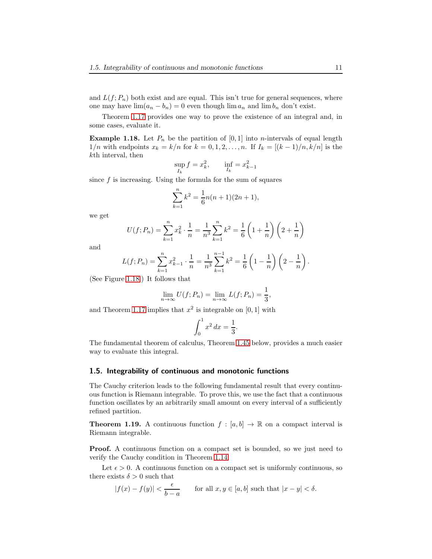and  $L(f; P_n)$  both exist and are equal. This isn't true for general sequences, where one may have  $\lim_{n \to \infty} (a_n - b_n) = 0$  even though  $\lim_{n \to \infty} a_n$  and  $\lim_{n \to \infty} b_n$  don't exist.

Theorem [1.17](#page-9-0) provides one way to prove the existence of an integral and, in some cases, evaluate it.

<span id="page-10-0"></span>**Example 1.18.** Let  $P_n$  be the partition of [0, 1] into *n*-intervals of equal length  $1/n$  with endpoints  $x_k = k/n$  for  $k = 0, 1, 2, ..., n$ . If  $I_k = [(k-1)/n, k/n]$  is the kth interval, then

$$
\sup_{I_k} f = x_k^2
$$
,  $\inf_{I_k} = x_{k-1}^2$ 

since  $f$  is increasing. Using the formula for the sum of squares

$$
\sum_{k=1}^{n} k^2 = \frac{1}{6}n(n+1)(2n+1),
$$

we get

$$
U(f; P_n) = \sum_{k=1}^{n} x_k^2 \cdot \frac{1}{n} = \frac{1}{n^3} \sum_{k=1}^{n} k^2 = \frac{1}{6} \left( 1 + \frac{1}{n} \right) \left( 2 + \frac{1}{n} \right)
$$

and

$$
L(f; P_n) = \sum_{k=1}^{n} x_{k-1}^2 \cdot \frac{1}{n} = \frac{1}{n^3} \sum_{k=1}^{n-1} k^2 = \frac{1}{6} \left( 1 - \frac{1}{n} \right) \left( 2 - \frac{1}{n} \right).
$$

(See Figure [1.18.](#page-10-0)) It follows that

$$
\lim_{n \to \infty} U(f; P_n) = \lim_{n \to \infty} L(f; P_n) = \frac{1}{3},
$$

and Theorem [1.17](#page-9-0) implies that  $x^2$  is integrable on [0, 1] with

$$
\int_0^1 x^2 dx = \frac{1}{3}.
$$

The fundamental theorem of calculus, Theorem [1.45](#page-26-0) below, provides a much easier way to evaluate this integral.

### 1.5. Integrability of continuous and monotonic functions

The Cauchy criterion leads to the following fundamental result that every continuous function is Riemann integrable. To prove this, we use the fact that a continuous function oscillates by an arbitrarily small amount on every interval of a sufficiently refined partition.

**Theorem 1.19.** A continuous function  $f : [a, b] \to \mathbb{R}$  on a compact interval is Riemann integrable.

**Proof.** A continuous function on a compact set is bounded, so we just need to verify the Cauchy condition in Theorem [1.14.](#page-7-2)

Let  $\epsilon > 0$ . A continuous function on a compact set is uniformly continuous, so there exists  $\delta > 0$  such that

$$
|f(x) - f(y)| < \frac{\epsilon}{b - a} \qquad \text{for all } x, y \in [a, b] \text{ such that } |x - y| < \delta.
$$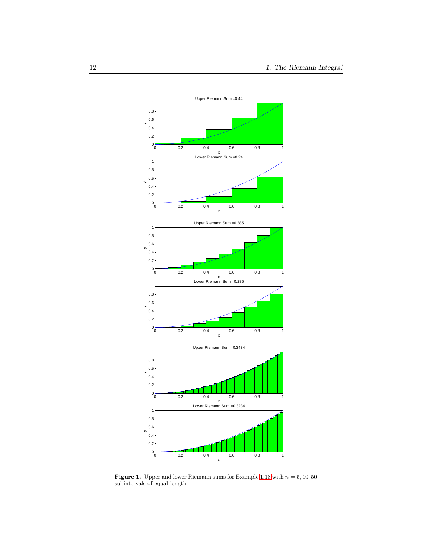

**Figure 1.** Upper and lower Riemann sums for Example [1.18](#page-10-0) with  $n = 5, 10, 50$ subintervals of equal length.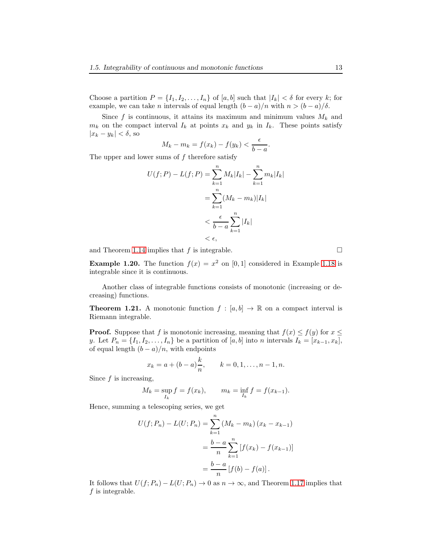Choose a partition  $P = \{I_1, I_2, \ldots, I_n\}$  of  $[a, b]$  such that  $|I_k| < \delta$  for every k; for example, we can take *n* intervals of equal length  $(b - a)/n$  with  $n > (b - a)/\delta$ .

Since f is continuous, it attains its maximum and minimum values  $M_k$  and  $m_k$  on the compact interval  $I_k$  at points  $x_k$  and  $y_k$  in  $I_k$ . These points satisfy  $|x_k - y_k| < \delta$ , so

$$
M_k - m_k = f(x_k) - f(y_k) < \frac{\epsilon}{b - a}.
$$

The upper and lower sums of  $f$  therefore satisfy

$$
U(f;P) - L(f;P) = \sum_{k=1}^{n} M_k |I_k| - \sum_{k=1}^{n} m_k |I_k|
$$
  
= 
$$
\sum_{k=1}^{n} (M_k - m_k) |I_k|
$$
  
< 
$$
< \frac{\epsilon}{b-a} \sum_{k=1}^{n} |I_k|
$$
  
< 
$$
< \epsilon,
$$

and Theorem [1.14](#page-7-2) implies that f is integrable.  $\square$ 

**Example 1.20.** The function  $f(x) = x^2$  on [0, 1] considered in Example [1.18](#page-10-0) is integrable since it is continuous.

Another class of integrable functions consists of monotonic (increasing or decreasing) functions.

<span id="page-12-0"></span>**Theorem 1.21.** A monotonic function  $f : [a, b] \to \mathbb{R}$  on a compact interval is Riemann integrable.

**Proof.** Suppose that f is monotonic increasing, meaning that  $f(x) \leq f(y)$  for  $x \leq$ y. Let  $P_n = \{I_1, I_2, \ldots, I_n\}$  be a partition of  $[a, b]$  into n intervals  $I_k = [x_{k-1}, x_k]$ , of equal length  $(b - a)/n$ , with endpoints

$$
x_k = a + (b - a)\frac{k}{n}
$$
,  $k = 0, 1, ..., n - 1, n$ .

Since  $f$  is increasing,

$$
M_k = \sup_{I_k} f = f(x_k), \qquad m_k = \inf_{I_k} f = f(x_{k-1}).
$$

Hence, summing a telescoping series, we get

$$
U(f; P_n) - L(U; P_n) = \sum_{k=1}^{n} (M_k - m_k) (x_k - x_{k-1})
$$
  
= 
$$
\frac{b-a}{n} \sum_{k=1}^{n} [f(x_k) - f(x_{k-1})]
$$
  
= 
$$
\frac{b-a}{n} [f(b) - f(a)].
$$

It follows that  $U(f; P_n) - L(U; P_n) \to 0$  as  $n \to \infty$ , and Theorem [1.17](#page-9-0) implies that  $f$  is integrable.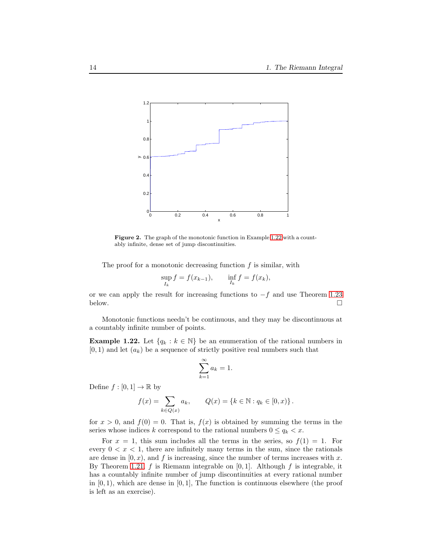

<span id="page-13-1"></span>Figure 2. The graph of the monotonic function in Example [1.22](#page-13-0) with a countably infinite, dense set of jump discontinuities.

The proof for a monotonic decreasing function  $f$  is similar, with

$$
\sup_{I_k} f = f(x_{k-1}), \qquad \inf_{I_k} f = f(x_k),
$$

or we can apply the result for increasing functions to  $-f$  and use Theorem [1.23](#page-14-0) below.  $□$ below.  $\Box$ 

Monotonic functions needn't be continuous, and they may be discontinuous at a countably infinite number of points.

<span id="page-13-0"></span>**Example 1.22.** Let  $\{q_k : k \in \mathbb{N}\}\)$  be an enumeration of the rational numbers in  $[0, 1)$  and let  $(a_k)$  be a sequence of strictly positive real numbers such that

$$
\sum_{k=1}^{\infty} a_k = 1.
$$

Define  $f : [0,1] \to \mathbb{R}$  by

$$
f(x) = \sum_{k \in Q(x)} a_k, \qquad Q(x) = \{k \in \mathbb{N} : q_k \in [0, x)\}.
$$

for  $x > 0$ , and  $f(0) = 0$ . That is,  $f(x)$  is obtained by summing the terms in the series whose indices k correspond to the rational numbers  $0 \le q_k < x$ .

For  $x = 1$ , this sum includes all the terms in the series, so  $f(1) = 1$ . For every  $0 < x < 1$ , there are infinitely many terms in the sum, since the rationals are dense in  $[0, x)$ , and f is increasing, since the number of terms increases with x. By Theorem [1.21,](#page-12-0) f is Riemann integrable on  $[0, 1]$ . Although f is integrable, it has a countably infinite number of jump discontinuities at every rational number in  $[0, 1]$ , which are dense in  $[0, 1]$ , The function is continuous elsewhere (the proof is left as an exercise).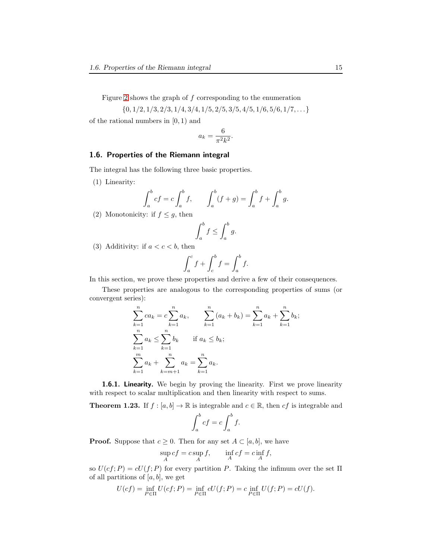Figure [2](#page-13-1) shows the graph of  $f$  corresponding to the enumeration

 $\{0, 1/2, 1/3, 2/3, 1/4, 3/4, 1/5, 2/5, 3/5, 4/5, 1/6, 5/6, 1/7, \ldots\}$ 

of the rational numbers in [0, 1) and

$$
a_k = \frac{6}{\pi^2 k^2}.
$$

## 1.6. Properties of the Riemann integral

The integral has the following three basic properties.

(1) Linearity:

$$
\int_{a}^{b} cf = c \int_{a}^{b} f, \qquad \int_{a}^{b} (f + g) = \int_{a}^{b} f + \int_{a}^{b} g.
$$

(2) Monotonicity: if  $f \leq g$ , then

$$
\int_a^b f \le \int_a^b g.
$$

(3) Additivity: if  $a < c < b$ , then

$$
\int_{a}^{c} f + \int_{c}^{b} f = \int_{a}^{b} f.
$$

In this section, we prove these properties and derive a few of their consequences.

These properties are analogous to the corresponding properties of sums (or convergent series):

$$
\sum_{k=1}^{n} ca_k = c \sum_{k=1}^{n} a_k, \qquad \sum_{k=1}^{n} (a_k + b_k) = \sum_{k=1}^{n} a_k + \sum_{k=1}^{n} b_k;
$$
  

$$
\sum_{k=1}^{n} a_k \le \sum_{k=1}^{n} b_k \qquad \text{if } a_k \le b_k;
$$
  

$$
\sum_{k=1}^{m} a_k + \sum_{k=m+1}^{n} a_k = \sum_{k=1}^{n} a_k.
$$

1.6.1. Linearity. We begin by proving the linearity. First we prove linearity with respect to scalar multiplication and then linearity with respect to sums.

<span id="page-14-0"></span>**Theorem 1.23.** If  $f : [a, b] \to \mathbb{R}$  is integrable and  $c \in \mathbb{R}$ , then  $cf$  is integrable and

$$
\int_a^b cf = c \int_a^b f.
$$

**Proof.** Suppose that  $c \geq 0$ . Then for any set  $A \subset [a, b]$ , we have

$$
\sup_A cf = c \sup_A f, \qquad \inf_A cf = c \inf_A f,
$$

so  $U(cf; P) = cU(f; P)$  for every partition P. Taking the infimum over the set  $\Pi$ of all partitions of  $[a, b]$ , we get

$$
U(cf) = \inf_{P \in \Pi} U(cf; P) = \inf_{P \in \Pi} cU(f; P) = c \inf_{P \in \Pi} U(f; P) = cU(f).
$$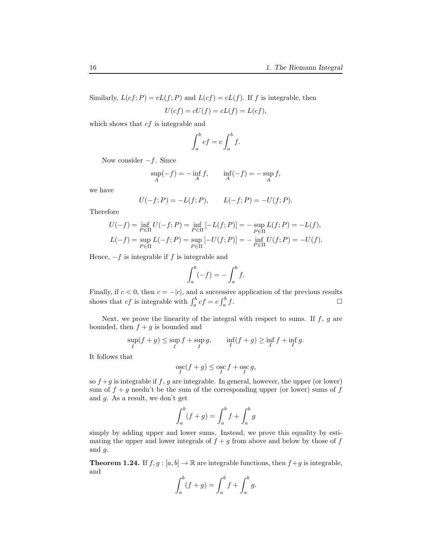Similarly,  $L(cf; P) = cL(f; P)$  and  $L(cf) = cL(f)$ . If f is integrable, then

$$
U(cf) = cU(f) = cL(f) = L(cf),
$$

which shows that  $cf$  is integrable and

$$
\int_{a}^{b} cf = c \int_{a}^{b} f.
$$

Now consider  $-f$ . Since

$$
\sup_{A}(-f) = -\inf_{A} f, \qquad \inf_{A}(-f) = -\sup_{A} f,
$$

we have

$$
U(-f; P) = -L(f; P),
$$
  $L(-f; P) = -U(f; P).$ 

Therefore

$$
U(-f) = \inf_{P \in \Pi} U(-f; P) = \inf_{P \in \Pi} [-L(f; P)] = -\sup_{P \in \Pi} L(f; P) = -L(f),
$$
  

$$
L(-f) = \sup_{P \in \Pi} L(-f; P) = \sup_{P \in \Pi} [-U(f; P)] = -\inf_{P \in \Pi} U(f; P) = -U(f).
$$

Hence,  $-f$  is integrable if f is integrable and

$$
\int_a^b (-f) = -\int_a^b f.
$$

Finally, if  $c < 0$ , then  $c = -|c|$ , and a successive application of the previous results shows that  $cf$  is integrable with  $\int_a^b cf = c \int_a^b$  $f$ .

Next, we prove the linearity of the integral with respect to sums. If  $f, g$  are bounded, then  $f + g$  is bounded and

$$
\sup_I(f+g) \le \sup_I f + \sup_I g, \qquad \inf_I(f+g) \ge \inf_I f + \inf_I g.
$$

It follows that

$$
\mathop{\rm osc}_I(f+g)\le\mathop{\rm osc}_I f+\mathop{\rm osc}_I g,
$$

so  $f + g$  is integrable if f, g are integrable. In general, however, the upper (or lower) sum of  $f + g$  needn't be the sum of the corresponding upper (or lower) sums of f and g. As a result, we don't get

$$
\int_a^b (f+g) = \int_a^b f + \int_a^b g
$$

simply by adding upper and lower sums. Instead, we prove this equality by estimating the upper and lower integrals of  $f + g$  from above and below by those of  $f$ and g.

**Theorem 1.24.** If  $f, g : [a, b] \to \mathbb{R}$  are integrable functions, then  $f + g$  is integrable, and

$$
\int_{a}^{b} (f+g) = \int_{a}^{b} f + \int_{a}^{b} g.
$$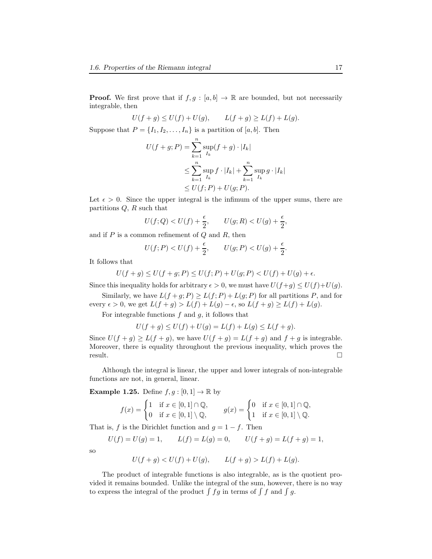**Proof.** We first prove that if  $f, g : [a, b] \to \mathbb{R}$  are bounded, but not necessarily integrable, then

$$
U(f + g) \le U(f) + U(g),
$$
  $L(f + g) \ge L(f) + L(g).$ 

Suppose that  $P = \{I_1, I_2, \ldots, I_n\}$  is a partition of [a, b]. Then

$$
U(f+g;P) = \sum_{k=1}^{n} \sup_{I_k} (f+g) \cdot |I_k|
$$
  
\n
$$
\leq \sum_{k=1}^{n} \sup_{I_k} f \cdot |I_k| + \sum_{k=1}^{n} \sup_{I_k} g \cdot |I_k|
$$
  
\n
$$
\leq U(f;P) + U(g;P).
$$

Let  $\epsilon > 0$ . Since the upper integral is the infimum of the upper sums, there are partitions  $Q$ ,  $R$  such that

$$
U(f;Q) < U(f) + \frac{\epsilon}{2}, \qquad U(g;R) < U(g) + \frac{\epsilon}{2},
$$

and if  $P$  is a common refinement of  $Q$  and  $R$ , then

$$
U(f;P) < U(f) + \frac{\epsilon}{2}, \qquad U(g;P) < U(g) + \frac{\epsilon}{2}.
$$

It follows that

$$
U(f + g) \le U(f + g; P) \le U(f; P) + U(g; P) < U(f) + U(g) + \epsilon.
$$

Since this inequality holds for arbitrary  $\epsilon > 0$ , we must have  $U(f+g) \leq U(f)+U(g)$ .

Similarly, we have  $L(f+g;P) \ge L(f;P) + L(g;P)$  for all partitions P, and for every  $\epsilon > 0$ , we get  $L(f + g) > L(f) + L(g) - \epsilon$ , so  $L(f + g) \ge L(f) + L(g)$ .

For integrable functions  $f$  and  $g$ , it follows that

$$
U(f + g) \le U(f) + U(g) = L(f) + L(g) \le L(f + g).
$$

Since  $U(f+g) \ge L(f+g)$ , we have  $U(f+g) = L(f+g)$  and  $f+g$  is integrable. Moreover, there is equality throughout the previous inequality, which proves the  $r$ esult.

Although the integral is linear, the upper and lower integrals of non-integrable functions are not, in general, linear.

**Example 1.25.** Define  $f, g : [0, 1] \to \mathbb{R}$  by

$$
f(x) = \begin{cases} 1 & \text{if } x \in [0,1] \cap \mathbb{Q}, \\ 0 & \text{if } x \in [0,1] \setminus \mathbb{Q}, \end{cases} \qquad g(x) = \begin{cases} 0 & \text{if } x \in [0,1] \cap \mathbb{Q}, \\ 1 & \text{if } x \in [0,1] \setminus \mathbb{Q}. \end{cases}
$$

That is, f is the Dirichlet function and  $g = 1 - f$ . Then

$$
U(f) = U(g) = 1,
$$
  $L(f) = L(g) = 0,$   $U(f + g) = L(f + g) = 1,$ 

so

$$
U(f + g) < U(f) + U(g), \qquad L(f + g) > L(f) + L(g).
$$

The product of integrable functions is also integrable, as is the quotient provided it remains bounded. Unlike the integral of the sum, however, there is no way to express the integral of the product  $\int f g$  in terms of  $\int f$  and  $\int g$ .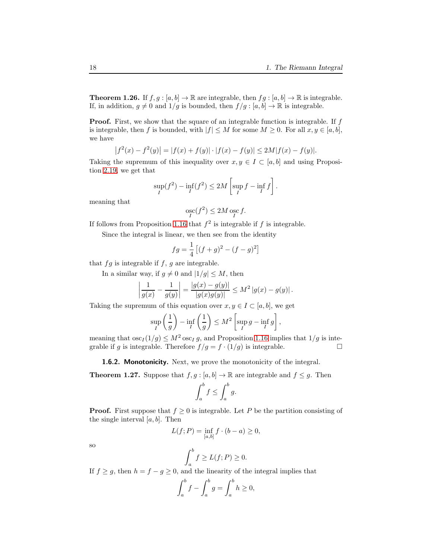<span id="page-17-1"></span>**Theorem 1.26.** If  $f, g : [a, b] \to \mathbb{R}$  are integrable, then  $fg : [a, b] \to \mathbb{R}$  is integrable. If, in addition,  $g \neq 0$  and  $1/g$  is bounded, then  $f / g : [a, b] \to \mathbb{R}$  is integrable.

**Proof.** First, we show that the square of an integrable function is integrable. If  $f$ is integrable, then f is bounded, with  $|f| \leq M$  for some  $M \geq 0$ . For all  $x, y \in [a, b]$ , we have

$$
|f^{2}(x) - f^{2}(y)| = |f(x) + f(y)| \cdot |f(x) - f(y)| \le 2M|f(x) - f(y)|.
$$

Taking the supremum of this inequality over  $x, y \in I \subset [a, b]$  and using Proposition 2.19, we get that

$$
\sup_I(f^2) - \inf_I(f^2) \le 2M \left[ \sup_I f - \inf_I f \right].
$$

meaning that

$$
\underset{I}{\mathrm{osc}}(f^2) \le 2M \underset{I}{\mathrm{osc}} f.
$$

If follows from Proposition [1.16](#page-8-0) that  $f^2$  is integrable if f is integrable.

Since the integral is linear, we then see from the identity

$$
fg = \frac{1}{4} \left[ (f+g)^2 - (f-g)^2 \right]
$$

that  $fg$  is integrable if  $f, g$  are integrable.

In a similar way, if  $q \neq 0$  and  $|1/q| \leq M$ , then

$$
\left|\frac{1}{g(x)} - \frac{1}{g(y)}\right| = \frac{|g(x) - g(y)|}{|g(x)g(y)|} \le M^2 |g(x) - g(y)|.
$$

Taking the supremum of this equation over  $x, y \in I \subset [a, b]$ , we get

$$
\sup_{I} \left( \frac{1}{g} \right) - \inf_{I} \left( \frac{1}{g} \right) \leq M^2 \left[ \sup_{I} g - \inf_{I} g \right],
$$

meaning that  $\csc_I(1/g) \leq M^2 \csc_I g$ , and Proposition [1.16](#page-8-0) implies that  $1/g$  is inte-<br>grable if g is integrable. Therefore  $f/g = f \cdot (1/g)$  is integrable. grable if g is integrable. Therefore  $f/g = f \cdot (1/g)$  is integrable.

1.6.2. Monotonicity. Next, we prove the monotonicity of the integral.

<span id="page-17-0"></span>**Theorem 1.27.** Suppose that  $f, g : [a, b] \to \mathbb{R}$  are integrable and  $f \leq g$ . Then

$$
\int_a^b f \le \int_a^b g.
$$

**Proof.** First suppose that  $f \geq 0$  is integrable. Let P be the partition consisting of the single interval  $[a, b]$ . Then

$$
L(f;P) = \inf_{[a,b]} f \cdot (b-a) \ge 0,
$$

so

$$
\int_{a}^{b} f \ge L(f; P) \ge 0.
$$

If  $f \ge g$ , then  $h = f - g \ge 0$ , and the linearity of the integral implies that

$$
\int_a^b f - \int_a^b g = \int_a^b h \ge 0,
$$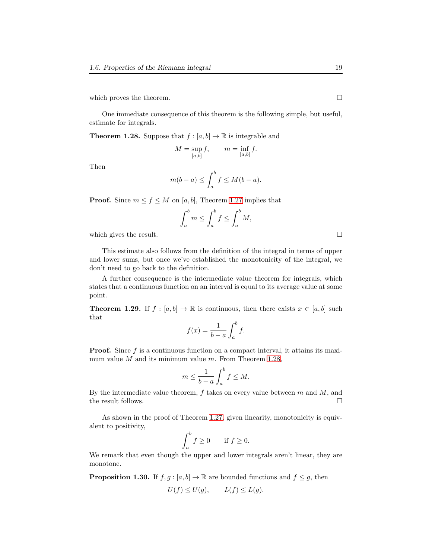which proves the theorem.  $\Box$ 

One immediate consequence of this theorem is the following simple, but useful, estimate for integrals.

<span id="page-18-0"></span>**Theorem 1.28.** Suppose that  $f : [a, b] \to \mathbb{R}$  is integrable and

$$
M = \sup_{[a,b]} f, \qquad m = \inf_{[a,b]} f.
$$

Then

$$
m(b-a) \le \int_a^b f \le M(b-a).
$$

**Proof.** Since  $m \le f \le M$  on [a, b], Theorem [1.27](#page-17-0) implies that

$$
\int_{a}^{b} m \le \int_{a}^{b} f \le \int_{a}^{b} M,
$$

which gives the result.  $\Box$ 

This estimate also follows from the definition of the integral in terms of upper and lower sums, but once we've established the monotonicity of the integral, we don't need to go back to the definition.

A further consequence is the intermediate value theorem for integrals, which states that a continuous function on an interval is equal to its average value at some point.

**Theorem 1.29.** If  $f : [a, b] \to \mathbb{R}$  is continuous, then there exists  $x \in [a, b]$  such that

$$
f(x) = \frac{1}{b-a} \int_a^b f.
$$

Proof. Since f is a continuous function on a compact interval, it attains its maximum value  $M$  and its minimum value  $m$ . From Theorem [1.28,](#page-18-0)

$$
m \le \frac{1}{b-a} \int_a^b f \le M.
$$

By the intermediate value theorem,  $f$  takes on every value between  $m$  and  $M$ , and the result follows.  $\Box$ 

As shown in the proof of Theorem [1.27,](#page-17-0) given linearity, monotonicity is equivalent to positivity,

$$
\int_{a}^{b} f \ge 0 \quad \text{if } f \ge 0.
$$

We remark that even though the upper and lower integrals aren't linear, they are monotone.

<span id="page-18-1"></span>**Proposition 1.30.** If  $f, g : [a, b] \to \mathbb{R}$  are bounded functions and  $f \leq g$ , then  $U(f) \leq U(g)$ ,  $L(f) \leq L(g)$ .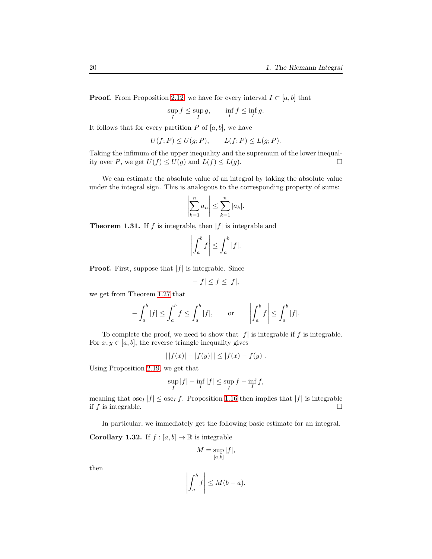**Proof.** From Proposition 2.12, we have for every interval  $I \subset [a, b]$  that

$$
\sup_I f \le \sup_I g, \qquad \inf_I f \le \inf_I g.
$$

It follows that for every partition  $P$  of  $[a, b]$ , we have

$$
U(f;P) \le U(g;P), \qquad L(f;P) \le L(g;P).
$$

Taking the infimum of the upper inequality and the supremum of the lower inequality over P, we get  $U(f) \le U(g)$  and  $L(f) \le L(g)$ .

We can estimate the absolute value of an integral by taking the absolute value under the integral sign. This is analogous to the corresponding property of sums:

$$
\left|\sum_{k=1}^n a_n\right| \leq \sum_{k=1}^n |a_k|.
$$

**Theorem 1.31.** If f is integrable, then  $|f|$  is integrable and

$$
\left| \int_a^b f \right| \leq \int_a^b |f|.
$$

**Proof.** First, suppose that  $|f|$  is integrable. Since

$$
-|f| \le f \le |f|,
$$

we get from Theorem [1.27](#page-17-0) that

$$
-\int_a^b |f| \le \int_a^b f \le \int_a^b |f|, \quad \text{or} \quad \left| \int_a^b f \right| \le \int_a^b |f|.
$$

To complete the proof, we need to show that  $|f|$  is integrable if f is integrable. For  $x, y \in [a, b]$ , the reverse triangle inequality gives

$$
| |f(x)| - |f(y)| | \le |f(x) - f(y)|.
$$

Using Proposition 2.19, we get that

$$
\sup_I|f|-\inf_I|f|\leq \sup_If-\inf_If,
$$

meaning that  $\csc_I |f| \leq \csc_I f$ . Proposition [1.16](#page-8-0) then implies that  $|f|$  is integrable if f is integrable. if  $f$  is integrable.

<span id="page-19-0"></span>In particular, we immediately get the following basic estimate for an integral. **Corollary 1.32.** If  $f : [a, b] \to \mathbb{R}$  is integrable

$$
M = \sup_{[a,b]} |f|,
$$

then

$$
\left| \int_{a}^{b} f \right| \leq M(b-a).
$$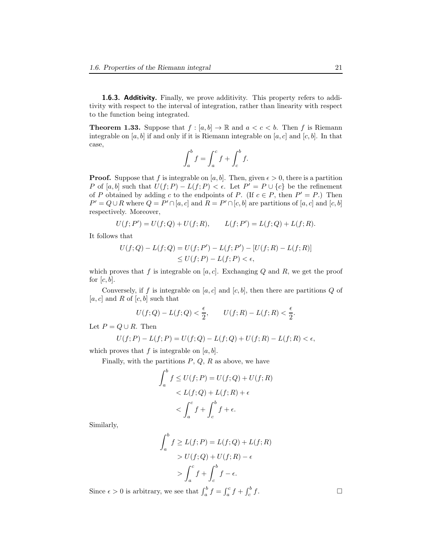1.6.3. Additivity. Finally, we prove additivity. This property refers to additivity with respect to the interval of integration, rather than linearity with respect to the function being integrated.

<span id="page-20-0"></span>**Theorem 1.33.** Suppose that  $f : [a, b] \to \mathbb{R}$  and  $a < c < b$ . Then f is Riemann integrable on [a, b] if and only if it is Riemann integrable on [a, c] and [c, b]. In that case,

$$
\int_a^b f = \int_a^c f + \int_c^b f.
$$

**Proof.** Suppose that f is integrable on [a, b]. Then, given  $\epsilon > 0$ , there is a partition P of [a, b] such that  $U(f; P) - L(f; P) < \epsilon$ . Let  $P' = P \cup \{c\}$  be the refinement of P obtained by adding c to the endpoints of P. (If  $c \in P$ , then  $P' = P$ .) Then  $P' = Q \cup R$  where  $Q = P' \cap [a, c]$  and  $R = P' \cap [c, b]$  are partitions of  $[a, c]$  and  $[c, b]$ respectively. Moreover,

$$
U(f; P') = U(f; Q) + U(f; R), \qquad L(f; P') = L(f; Q) + L(f; R).
$$

It follows that

$$
U(f; Q) - L(f; Q) = U(f; P') - L(f; P') - [U(f; R) - L(f; R)]
$$
  
\n
$$
\leq U(f; P) - L(f; P) < \epsilon,
$$

which proves that f is integrable on  $[a, c]$ . Exchanging Q and R, we get the proof for  $[c, b]$ .

Conversely, if f is integrable on [a, c] and [c, b], then there are partitions  $Q$  of  $[a, c]$  and R of  $[c, b]$  such that

$$
U(f;Q) - L(f;Q) < \frac{\epsilon}{2}, \qquad U(f;R) - L(f;R) < \frac{\epsilon}{2}.
$$

Let  $P = Q \cup R$ . Then

$$
U(f; P) - L(f; P) = U(f; Q) - L(f; Q) + U(f; R) - L(f; R) < \epsilon,
$$

which proves that  $f$  is integrable on  $[a, b]$ .

Finally, with the partitions  $P, Q, R$  as above, we have

$$
\int_{a}^{b} f \le U(f; P) = U(f; Q) + U(f; R)
$$
  

$$
< L(f; Q) + L(f; R) + \epsilon
$$
  

$$
< \int_{a}^{c} f + \int_{c}^{b} f + \epsilon.
$$

Similarly,

$$
\int_{a}^{b} f \ge L(f; P) = L(f; Q) + L(f; R)
$$

$$
> U(f; Q) + U(f; R) - \epsilon
$$

$$
> \int_{a}^{c} f + \int_{c}^{b} f - \epsilon.
$$

Since  $\epsilon > 0$  is arbitrary, we see that  $\int_a^b f = \int_a^c f + \int_c^b$ 

 $f$ .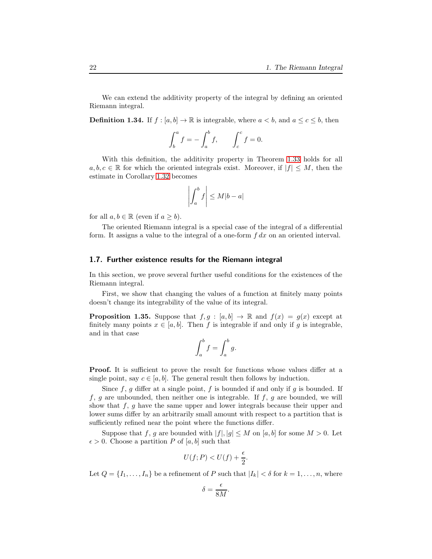We can extend the additivity property of the integral by defining an oriented Riemann integral.

**Definition 1.34.** If  $f : [a, b] \to \mathbb{R}$  is integrable, where  $a < b$ , and  $a \leq c \leq b$ , then

$$
\int_b^a f = -\int_a^b f, \qquad \int_c^c f = 0.
$$

With this definition, the additivity property in Theorem [1.33](#page-20-0) holds for all  $a, b, c \in \mathbb{R}$  for which the oriented integrals exist. Moreover, if  $|f| \leq M$ , then the estimate in Corollary [1.32](#page-19-0) becomes

$$
\left| \int_{a}^{b} f \right| \leq M|b - a|
$$

for all  $a, b \in \mathbb{R}$  (even if  $a \geq b$ ).

The oriented Riemann integral is a special case of the integral of a differential form. It assigns a value to the integral of a one-form  $f dx$  on an oriented interval.

#### 1.7. Further existence results for the Riemann integral

In this section, we prove several further useful conditions for the existences of the Riemann integral.

First, we show that changing the values of a function at finitely many points doesn't change its integrability of the value of its integral.

<span id="page-21-0"></span>**Proposition 1.35.** Suppose that  $f, g : [a, b] \to \mathbb{R}$  and  $f(x) = g(x)$  except at finitely many points  $x \in [a, b]$ . Then f is integrable if and only if g is integrable, and in that case

$$
\int_a^b f = \int_a^b g.
$$

Proof. It is sufficient to prove the result for functions whose values differ at a single point, say  $c \in [a, b]$ . The general result then follows by induction.

Since  $f, g$  differ at a single point,  $f$  is bounded if and only if  $g$  is bounded. If  $f, g$  are unbounded, then neither one is integrable. If  $f, g$  are bounded, we will show that  $f, g$  have the same upper and lower integrals because their upper and lower sums differ by an arbitrarily small amount with respect to a partition that is sufficiently refined near the point where the functions differ.

Suppose that f, g are bounded with  $|f|, |g| \leq M$  on  $[a, b]$  for some  $M > 0$ . Let  $\epsilon > 0$ . Choose a partition P of [a, b] such that

$$
U(f;P) < U(f) + \frac{\epsilon}{2}.
$$

Let  $Q = \{I_1, \ldots, I_n\}$  be a refinement of P such that  $|I_k| < \delta$  for  $k = 1, \ldots, n$ , where

$$
\delta = \frac{\epsilon}{8M}.
$$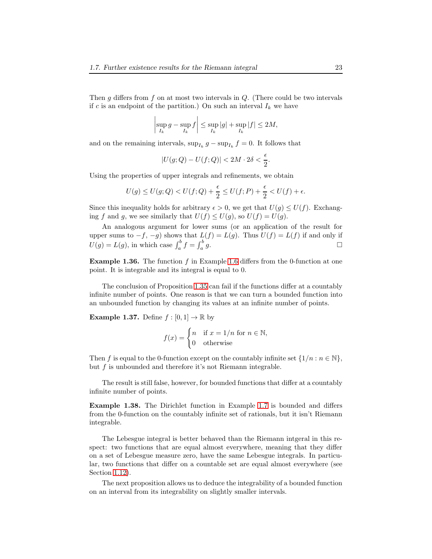Then  $g$  differs from  $f$  on at most two intervals in  $Q$ . (There could be two intervals if c is an endpoint of the partition.) On such an interval  $I_k$  we have

$$
\left|\sup_{I_k} g - \sup_{I_k} f\right| \leq \sup_{I_k} |g| + \sup_{I_k} |f| \leq 2M,
$$

and on the remaining intervals,  $\sup_{I_k} g - \sup_{I_k} f = 0$ . It follows that

$$
|U(g;Q)-U(f;Q)|<2M\cdot 2\delta<\frac{\epsilon}{2}.
$$

Using the properties of upper integrals and refinements, we obtain

$$
U(g) \le U(g;Q) < U(f;Q) + \frac{\epsilon}{2} \le U(f;P) + \frac{\epsilon}{2} < U(f) + \epsilon.
$$

Since this inequality holds for arbitrary  $\epsilon > 0$ , we get that  $U(q) \leq U(f)$ . Exchanging f and g, we see similarly that  $U(f) \leq U(g)$ , so  $U(f) = U(g)$ .

An analogous argument for lower sums (or an application of the result for upper sums to  $-f$ ,  $-g$ ) shows that  $L(f) = L(g)$ . Thus  $U(f) = L(f)$  if and only if  $U(g) = L(g)$ , in which case  $\int_a^b f = \int_a^b$  $g$ .

**Example 1.36.** The function f in Example [1.6](#page-4-0) differs from the 0-function at one point. It is integrable and its integral is equal to 0.

The conclusion of Proposition [1.35](#page-21-0) can fail if the functions differ at a countably infinite number of points. One reason is that we can turn a bounded function into an unbounded function by changing its values at an infinite number of points.

**Example 1.37.** Define  $f : [0,1] \to \mathbb{R}$  by

$$
f(x) = \begin{cases} n & \text{if } x = 1/n \text{ for } n \in \mathbb{N}, \\ 0 & \text{otherwise} \end{cases}
$$

Then f is equal to the 0-function except on the countably infinite set  $\{1/n : n \in \mathbb{N}\},$ but f is unbounded and therefore it's not Riemann integrable.

The result is still false, however, for bounded functions that differ at a countably infinite number of points.

Example 1.38. The Dirichlet function in Example [1.7](#page-5-1) is bounded and differs from the 0-function on the countably infinite set of rationals, but it isn't Riemann integrable.

The Lebesgue integral is better behaved than the Riemann intgeral in this respect: two functions that are equal almost everywhere, meaning that they differ on a set of Lebesgue measure zero, have the same Lebesgue integrals. In particular, two functions that differ on a countable set are equal almost everywhere (see Section [1.12\)](#page-52-0).

The next proposition allows us to deduce the integrability of a bounded function on an interval from its integrability on slightly smaller intervals.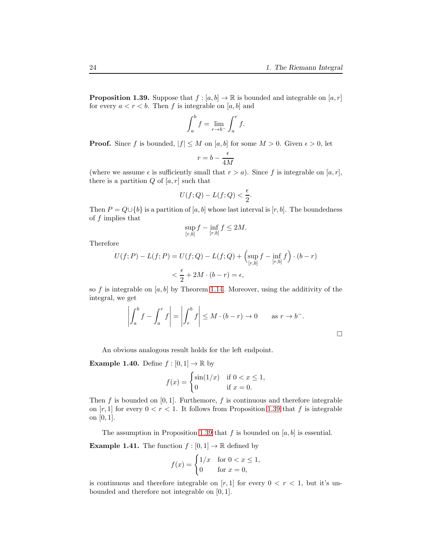$\Box$ 

<span id="page-23-0"></span>**Proposition 1.39.** Suppose that  $f : [a, b] \to \mathbb{R}$  is bounded and integrable on  $[a, r]$ for every  $a < r < b$ . Then f is integrable on [a, b] and

$$
\int_a^b f = \lim_{r \to b^-} \int_a^r f.
$$

**Proof.** Since f is bounded,  $|f| \leq M$  on  $[a, b]$  for some  $M > 0$ . Given  $\epsilon > 0$ , let

$$
r=b-\frac{\epsilon}{4M}
$$

(where we assume  $\epsilon$  is sufficiently small that  $r > a$ ). Since f is integrable on [a, r], there is a partition  $Q$  of  $[a, r]$  such that

$$
U(f;Q) - L(f;Q) < \frac{\epsilon}{2}.
$$

Then  $P = Q \cup \{b\}$  is a partition of [a, b] whose last interval is [r, b]. The boundedness of  $f$  implies that

$$
\sup_{[r,b]} f - \inf_{[r,b]} f \le 2M.
$$

Therefore

$$
U(f; P) - L(f; P) = U(f; Q) - L(f; Q) + \left(\sup_{[r,b]} f - \inf_{[r,b]} f\right) \cdot (b - r)
$$
  

$$
< \frac{\epsilon}{2} + 2M \cdot (b - r) = \epsilon,
$$

so f is integrable on  $[a, b]$  by Theorem [1.14.](#page-7-2) Moreover, using the additivity of the integral, we get

$$
\left| \int_a^b f - \int_a^r f \right| = \left| \int_r^b f \right| \le M \cdot (b - r) \to 0 \quad \text{as } r \to b^-.
$$

An obvious analogous result holds for the left endpoint.

**Example 1.40.** Define  $f : [0,1] \to \mathbb{R}$  by

$$
f(x) = \begin{cases} \sin(1/x) & \text{if } 0 < x \le 1, \\ 0 & \text{if } x = 0. \end{cases}
$$

Then  $f$  is bounded on  $[0, 1]$ . Furthemore,  $f$  is continuous and therefore integrable on [r, 1] for every  $0 < r < 1$ . It follows from Proposition [1.39](#page-23-0) that f is integrable on [0, 1].

The assumption in Proposition [1.39](#page-23-0) that f is bounded on  $[a, b]$  is essential.

**Example 1.41.** The function  $f : [0,1] \to \mathbb{R}$  defined by

$$
f(x) = \begin{cases} 1/x & \text{for } 0 < x \le 1, \\ 0 & \text{for } x = 0, \end{cases}
$$

is continuous and therefore integrable on [r, 1] for every  $0 < r < 1$ , but it's unbounded and therefore not integrable on [0, 1].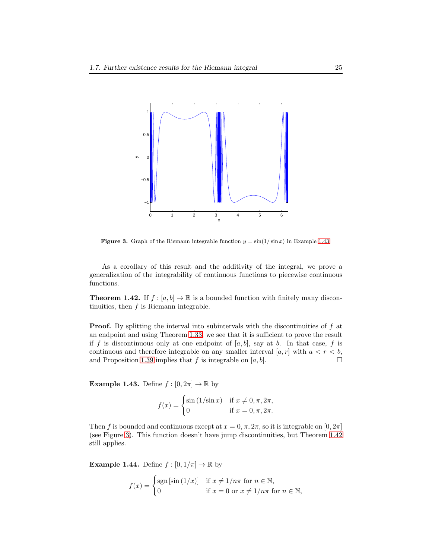

<span id="page-24-1"></span>**Figure 3.** Graph of the Riemann integrable function  $y = \sin(1/\sin x)$  in Example [1.43.](#page-24-0)

As a corollary of this result and the additivity of the integral, we prove a generalization of the integrability of continuous functions to piecewise continuous functions.

<span id="page-24-2"></span>**Theorem 1.42.** If  $f : [a, b] \to \mathbb{R}$  is a bounded function with finitely many discontinuities, then  $f$  is Riemann integrable.

**Proof.** By splitting the interval into subintervals with the discontinuities of  $f$  at an endpoint and using Theorem [1.33,](#page-20-0) we see that it is sufficient to prove the result if f is discontinuous only at one endpoint of  $[a, b]$ , say at b. In that case, f is continuous and therefore integrable on any smaller interval  $[a, r]$  with  $a < r < b$ , and Proposition [1.39](#page-23-0) implies that f is integrable on  $[a, b]$ .

<span id="page-24-0"></span>**Example 1.43.** Define  $f : [0, 2\pi] \to \mathbb{R}$  by

$$
f(x) = \begin{cases} \sin(1/\sin x) & \text{if } x \neq 0, \pi, 2\pi, \\ 0 & \text{if } x = 0, \pi, 2\pi. \end{cases}
$$

Then f is bounded and continuous except at  $x = 0, \pi, 2\pi$ , so it is integrable on  $[0, 2\pi]$ (see Figure [3\)](#page-24-1). This function doesn't have jump discontinuities, but Theorem [1.42](#page-24-2) still applies.

<span id="page-24-3"></span>**Example 1.44.** Define  $f : [0, 1/\pi] \to \mathbb{R}$  by

$$
f(x) = \begin{cases} \operatorname{sgn} \left[ \sin \left( 1/x \right) \right] & \text{if } x \neq 1/n\pi \text{ for } n \in \mathbb{N}, \\ 0 & \text{if } x = 0 \text{ or } x \neq 1/n\pi \text{ for } n \in \mathbb{N}, \end{cases}
$$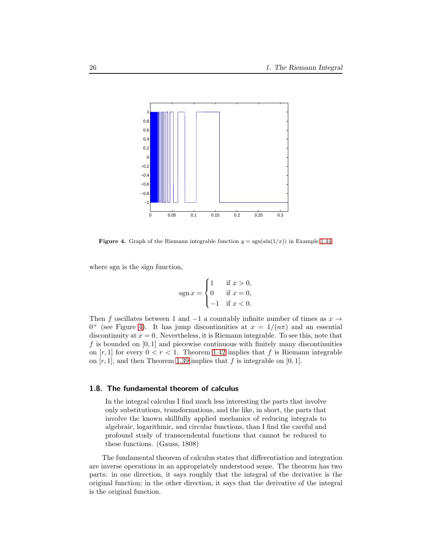

<span id="page-25-0"></span>**Figure 4.** Graph of the Riemann integrable function  $y = \text{sgn}(\sin(1/x))$  in Example [1.44.](#page-24-3)

where sgn is the sign function,

$$
sgn x = \begin{cases} 1 & \text{if } x > 0, \\ 0 & \text{if } x = 0, \\ -1 & \text{if } x < 0. \end{cases}
$$

Then f oscillates between 1 and  $-1$  a countably infinite number of times as  $x \rightarrow$  $0^+$  (see Figure [4\)](#page-25-0). It has jump discontinuities at  $x = 1/(n\pi)$  and an essential discontinuity at  $x = 0$ . Nevertheless, it is Riemann integrable. To see this, note that f is bounded on  $[0, 1]$  and piecewise continuous with finitely many discontinuities on  $[r, 1]$  for every  $0 < r < 1$ . Theorem [1.42](#page-24-2) implies that f is Riemann integrable on  $[r, 1]$ , and then Theorem [1.39](#page-23-0) implies that f is integrable on  $[0, 1]$ .

### 1.8. The fundamental theorem of calculus

In the integral calculus I find much less interesting the parts that involve only substitutions, transformations, and the like, in short, the parts that involve the known skillfully applied mechanics of reducing integrals to algebraic, logarithmic, and circular functions, than I find the careful and profound study of transcendental functions that cannot be reduced to these functions. (Gauss, 1808)

The fundamental theorem of calculus states that differentiation and integration are inverse operations in an appropriately understood sense. The theorem has two parts: in one direction, it says roughly that the integral of the derivative is the original function; in the other direction, it says that the derivative of the integral is the original function.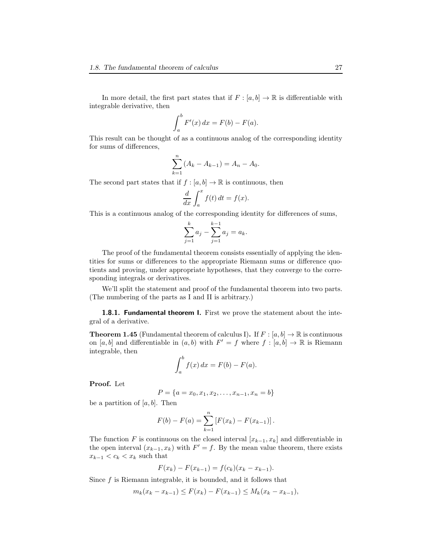$$
\int_a^b F'(x) \, dx = F(b) - F(a).
$$

This result can be thought of as a continuous analog of the corresponding identity for sums of differences,

$$
\sum_{k=1}^{n} (A_k - A_{k-1}) = A_n - A_0.
$$

The second part states that if  $f : [a, b] \to \mathbb{R}$  is continuous, then

$$
\frac{d}{dx} \int_{a}^{x} f(t) dt = f(x).
$$

This is a continuous analog of the corresponding identity for differences of sums,

$$
\sum_{j=1}^{k} a_j - \sum_{j=1}^{k-1} a_j = a_k.
$$

The proof of the fundamental theorem consists essentially of applying the identities for sums or differences to the appropriate Riemann sums or difference quotients and proving, under appropriate hypotheses, that they converge to the corresponding integrals or derivatives.

We'll split the statement and proof of the fundamental theorem into two parts. (The numbering of the parts as I and II is arbitrary.)

**1.8.1. Fundamental theorem I.** First we prove the statement about the integral of a derivative.

<span id="page-26-0"></span>**Theorem 1.45** (Fundamental theorem of calculus I). If  $F : [a, b] \to \mathbb{R}$  is continuous on  $[a, b]$  and differentiable in  $(a, b)$  with  $F' = f$  where  $f : [a, b] \to \mathbb{R}$  is Riemann integrable, then

$$
\int_a^b f(x) \, dx = F(b) - F(a).
$$

Proof. Let

$$
P = \{a = x_0, x_1, x_2, \dots, x_{n-1}, x_n = b\}
$$

be a partition of  $[a, b]$ . Then

$$
F(b) - F(a) = \sum_{k=1}^{n} [F(x_k) - F(x_{k-1})].
$$

The function F is continuous on the closed interval  $[x_{k-1}, x_k]$  and differentiable in the open interval  $(x_{k-1}, x_k)$  with  $F' = f$ . By the mean value theorem, there exists  $x_{k-1} < c_k < x_k$  such that

$$
F(x_k) - F(x_{k-1}) = f(c_k)(x_k - x_{k-1}).
$$

Since  $f$  is Riemann integrable, it is bounded, and it follows that

$$
m_k(x_k - x_{k-1}) \leq F(x_k) - F(x_{k-1}) \leq M_k(x_k - x_{k-1}),
$$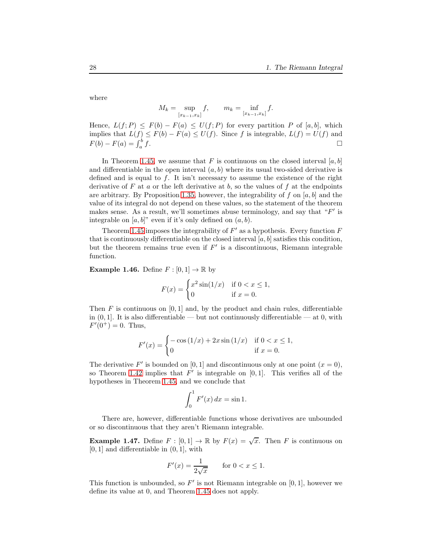where

$$
M_k = \sup_{[x_{k-1}, x_k]} f, \qquad m_k = \inf_{[x_{k-1}, x_k]} f.
$$

Hence,  $L(f; P) \leq F(b) - F(a) \leq U(f; P)$  for every partition P of [a, b], which implies that  $L(f) \leq F(b) - F(a) \leq U(f)$ . Since f is integrable,  $L(f) = U(f)$  and  $F(b) - F(a) = \int_a^b$  $f$ .

In Theorem [1.45,](#page-26-0) we assume that F is continuous on the closed interval  $[a, b]$ and differentiable in the open interval  $(a, b)$  where its usual two-sided derivative is defined and is equal to  $f$ . It isn't necessary to assume the existence of the right derivative of F at a or the left derivative at b, so the values of f at the endpoints are arbitrary. By Proposition [1.35,](#page-21-0) however, the integrability of f on  $[a, b]$  and the value of its integral do not depend on these values, so the statement of the theorem makes sense. As a result, we'll sometimes abuse terminology, and say that " $F'$  is integrable on  $[a, b]$ " even if it's only defined on  $(a, b)$ .

Theorem [1.45](#page-26-0) imposes the integrability of  $F'$  as a hypothesis. Every function  $F$ that is continuously differentiable on the closed interval  $[a, b]$  satisfies this condition, but the theorem remains true even if  $F'$  is a discontinuous, Riemann integrable function.

<span id="page-27-0"></span>**Example 1.46.** Define  $F : [0, 1] \to \mathbb{R}$  by

$$
F(x) = \begin{cases} x^2 \sin(1/x) & \text{if } 0 < x \le 1, \\ 0 & \text{if } x = 0. \end{cases}
$$

Then  $F$  is continuous on [0, 1] and, by the product and chain rules, differentiable in  $(0, 1]$ . It is also differentiable — but not continuously differentiable — at 0, with  $F'(0^+) = 0$ . Thus,

$$
F'(x) = \begin{cases} -\cos(1/x) + 2x\sin(1/x) & \text{if } 0 < x \le 1, \\ 0 & \text{if } x = 0. \end{cases}
$$

The derivative F' is bounded on [0, 1] and discontinuous only at one point  $(x = 0)$ , so Theorem [1.42](#page-24-2) implies that  $\overline{F}'$  is integrable on [0,1]. This verifies all of the hypotheses in Theorem [1.45,](#page-26-0) and we conclude that

$$
\int_0^1 F'(x) \, dx = \sin 1.
$$

There are, however, differentiable functions whose derivatives are unbounded or so discontinuous that they aren't Riemann integrable.

**Example 1.47.** Define  $F : [0,1] \to \mathbb{R}$  by  $F(x) = \sqrt{x}$ . Then F is continuous on  $[0, 1]$  and differentiable in  $(0, 1]$ , with

$$
F'(x) = \frac{1}{2\sqrt{x}}
$$
 for  $0 < x \le 1$ .

This function is unbounded, so  $F'$  is not Riemann integrable on  $[0,1]$ , however we define its value at 0, and Theorem [1.45](#page-26-0) does not apply.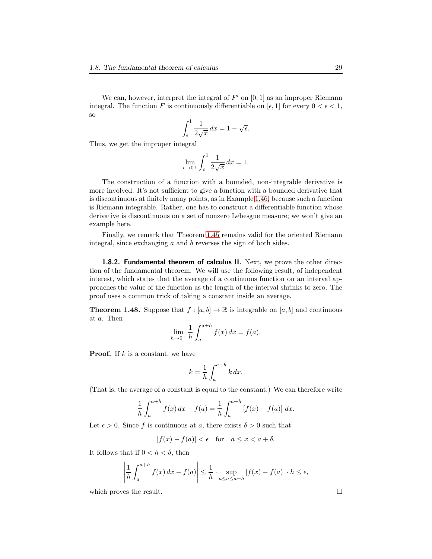We can, however, interpret the integral of  $F'$  on  $[0, 1]$  as an improper Riemann integral. The function F is continuously differentiable on  $[\epsilon, 1]$  for every  $0 < \epsilon < 1$ , so

$$
\int_{\epsilon}^{1} \frac{1}{2\sqrt{x}} dx = 1 - \sqrt{\epsilon}.
$$

Thus, we get the improper integral

$$
\lim_{\epsilon \to 0^+} \int_{\epsilon}^1 \frac{1}{2\sqrt{x}} dx = 1.
$$

The construction of a function with a bounded, non-integrable derivative is more involved. It's not sufficient to give a function with a bounded derivative that is discontinuous at finitely many points, as in Example [1.46,](#page-27-0) because such a function is Riemann integrable. Rather, one has to construct a differentiable function whose derivative is discontinuous on a set of nonzero Lebesgue measure; we won't give an example here.

Finally, we remark that Theorem [1.45](#page-26-0) remains valid for the oriented Riemann integral, since exchanging a and b reverses the sign of both sides.

**1.8.2. Fundamental theorem of calculus II.** Next, we prove the other direction of the fundamental theorem. We will use the following result, of independent interest, which states that the average of a continuous function on an interval approaches the value of the function as the length of the interval shrinks to zero. The proof uses a common trick of taking a constant inside an average.

<span id="page-28-0"></span>**Theorem 1.48.** Suppose that  $f : [a, b] \to \mathbb{R}$  is integrable on  $[a, b]$  and continuous at a. Then

$$
\lim_{h \to 0^+} \frac{1}{h} \int_{a}^{a+h} f(x) \, dx = f(a).
$$

**Proof.** If  $k$  is a constant, we have

$$
k = \frac{1}{h} \int_{a}^{a+h} k \, dx.
$$

(That is, the average of a constant is equal to the constant.) We can therefore write

$$
\frac{1}{h} \int_{a}^{a+h} f(x) dx - f(a) = \frac{1}{h} \int_{a}^{a+h} [f(x) - f(a)] dx.
$$

Let  $\epsilon > 0$ . Since f is continuous at a, there exists  $\delta > 0$  such that

$$
|f(x) - f(a)| < \epsilon \quad \text{for} \quad a \le x < a + \delta.
$$

It follows that if  $0 < h < \delta$ , then

$$
\left|\frac{1}{h}\int_{a}^{a+h}f(x)\,dx - f(a)\right| \leq \frac{1}{h} \cdot \sup_{a \leq a \leq a+h} |f(x) - f(a)| \cdot h \leq \epsilon,
$$

which proves the result.  $\Box$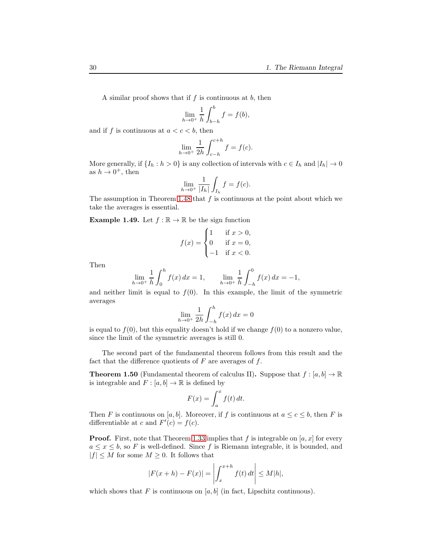A similar proof shows that if  $f$  is continuous at  $b$ , then

$$
\lim_{h \to 0^+} \frac{1}{h} \int_{b-h}^b f = f(b),
$$

and if f is continuous at  $a < c < b$ , then

$$
\lim_{h \to 0^+} \frac{1}{2h} \int_{c-h}^{c+h} f = f(c).
$$

More generally, if  $\{I_h : h > 0\}$  is any collection of intervals with  $c \in I_h$  and  $|I_h| \to 0$ as  $h \to 0^+$ , then

$$
\lim_{h \to 0^+} \frac{1}{|I_h|} \int_{I_h} f = f(c).
$$

The assumption in Theorem [1.48](#page-28-0) that  $f$  is continuous at the point about which we take the averages is essential.

**Example 1.49.** Let  $f : \mathbb{R} \to \mathbb{R}$  be the sign function

$$
f(x) = \begin{cases} 1 & \text{if } x > 0, \\ 0 & \text{if } x = 0, \\ -1 & \text{if } x < 0. \end{cases}
$$

Then

$$
\lim_{h \to 0^+} \frac{1}{h} \int_0^h f(x) \, dx = 1, \qquad \lim_{h \to 0^+} \frac{1}{h} \int_{-h}^0 f(x) \, dx = -1,
$$

and neither limit is equal to  $f(0)$ . In this example, the limit of the symmetric averages

$$
\lim_{h \to 0^+} \frac{1}{2h} \int_{-h}^{h} f(x) \, dx = 0
$$

is equal to  $f(0)$ , but this equality doesn't hold if we change  $f(0)$  to a nonzero value, since the limit of the symmetric averages is still 0.

The second part of the fundamental theorem follows from this result and the fact that the difference quotients of  $F$  are averages of  $f$ .

<span id="page-29-0"></span>**Theorem 1.50** (Fundamental theorem of calculus II). Suppose that  $f : [a, b] \to \mathbb{R}$ is integrable and  $F : [a, b] \to \mathbb{R}$  is defined by

$$
F(x) = \int_{a}^{x} f(t) dt.
$$

Then F is continuous on [a, b]. Moreover, if f is continuous at  $a \leq c \leq b$ , then F is differentiable at c and  $F'(c) = f(c)$ .

**Proof.** First, note that Theorem [1.33](#page-20-0) implies that f is integrable on  $[a, x]$  for every  $a \leq x \leq b$ , so F is well-defined. Since f is Riemann integrable, it is bounded, and  $|f| \leq M$  for some  $M \geq 0$ . It follows that

$$
|F(x+h) - F(x)| = \left| \int_x^{x+h} f(t) dt \right| \le M|h|,
$$

which shows that F is continuous on  $[a, b]$  (in fact, Lipschitz continuous).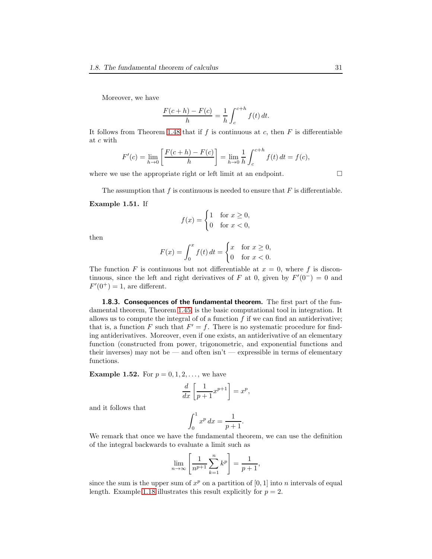Moreover, we have

$$
\frac{F(c+h) - F(c)}{h} = \frac{1}{h} \int_{c}^{c+h} f(t) dt.
$$

It follows from Theorem [1.48](#page-28-0) that if f is continuous at c, then  $F$  is differentiable at c with

$$
F'(c) = \lim_{h \to 0} \left[ \frac{F(c+h) - F(c)}{h} \right] = \lim_{h \to 0} \frac{1}{h} \int_{c}^{c+h} f(t) dt = f(c),
$$

where we use the appropriate right or left limit at an endpoint.  $\Box$ 

The assumption that  $f$  is continuous is needed to ensure that  $F$  is differentiable.

#### <span id="page-30-0"></span>Example 1.51. If

$$
f(x) = \begin{cases} 1 & \text{for } x \ge 0, \\ 0 & \text{for } x < 0, \end{cases}
$$

then

$$
F(x) = \int_0^x f(t) dt = \begin{cases} x & \text{for } x \ge 0, \\ 0 & \text{for } x < 0. \end{cases}
$$

The function F is continuous but not differentiable at  $x = 0$ , where f is discontinuous, since the left and right derivatives of F at 0, given by  $F'(0^-) = 0$  and  $F'(0^+) = 1$ , are different.

1.8.3. Consequences of the fundamental theorem. The first part of the fundamental theorem, Theorem [1.45,](#page-26-0) is the basic computational tool in integration. It allows us to compute the integral of of a function  $f$  if we can find an antiderivative; that is, a function F such that  $F' = f$ . There is no systematic procedure for finding antiderivatives. Moreover, even if one exists, an antiderivative of an elementary function (constructed from power, trigonometric, and exponential functions and their inverses) may not be — and often  $\sin t$  — expressible in terms of elementary functions.

**Example 1.52.** For  $p = 0, 1, 2, ...$ , we have

$$
\frac{d}{dx}\left[\frac{1}{p+1}x^{p+1}\right] = x^p,
$$

and it follows that

$$
\int_0^1 x^p dx = \frac{1}{p+1}.
$$

We remark that once we have the fundamental theorem, we can use the definition of the integral backwards to evaluate a limit such as

$$
\lim_{n \to \infty} \left[ \frac{1}{n^{p+1}} \sum_{k=1}^{n} k^p \right] = \frac{1}{p+1},
$$

since the sum is the upper sum of  $x^p$  on a partition of [0, 1] into n intervals of equal length. Example [1.18](#page-10-0) illustrates this result explicitly for  $p = 2$ .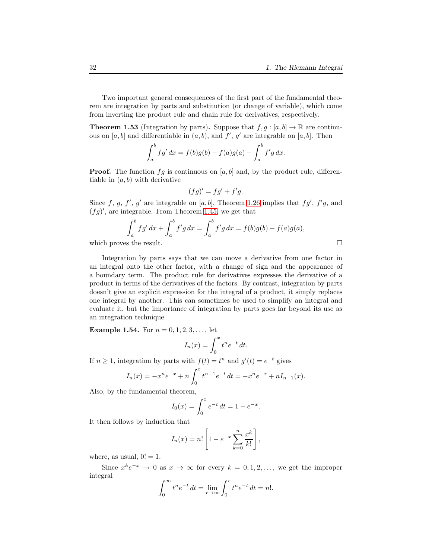Two important general consequences of the first part of the fundamental theorem are integration by parts and substitution (or change of variable), which come from inverting the product rule and chain rule for derivatives, respectively.

**Theorem 1.53** (Integration by parts). Suppose that  $f, g : [a, b] \to \mathbb{R}$  are continuous on  $[a, b]$  and differentiable in  $(a, b)$ , and  $f'$ ,  $g'$  are integrable on  $[a, b]$ . Then

$$
\int_{a}^{b} f g' dx = f(b)g(b) - f(a)g(a) - \int_{a}^{b} f' g dx.
$$

**Proof.** The function  $fg$  is continuous on [a, b] and, by the product rule, differentiable in  $(a, b)$  with derivative

$$
(fg)' = fg' + f'g.
$$

Since f, g, f', g' are integrable on [a, b], Theorem [1.26](#page-17-1) implies that  $fg'$ ,  $f'g$ , and  $(fg)'$ , are integrable. From Theorem [1.45,](#page-26-0) we get that

$$
\int_a^b f g' dx + \int_a^b f' g dx = \int_a^b f' g dx = f(b)g(b) - f(a)g(a),
$$
  
which proves the result.

Integration by parts says that we can move a derivative from one factor in an integral onto the other factor, with a change of sign and the appearance of a boundary term. The product rule for derivatives expresses the derivative of a product in terms of the derivatives of the factors. By contrast, integration by parts doesn't give an explicit expression for the integral of a product, it simply replaces one integral by another. This can sometimes be used to simplify an integral and evaluate it, but the importance of integration by parts goes far beyond its use as an integration technique.

**Example 1.54.** For  $n = 0, 1, 2, 3, ...$ , let

$$
I_n(x) = \int_0^x t^n e^{-t} dt.
$$

If  $n \geq 1$ , integration by parts with  $f(t) = t^n$  and  $g'(t) = e^{-t}$  gives

$$
I_n(x) = -x^n e^{-x} + n \int_0^x t^{n-1} e^{-t} dt = -x^n e^{-x} + n I_{n-1}(x).
$$

Also, by the fundamental theorem,

$$
I_0(x) = \int_0^x e^{-t} dt = 1 - e^{-x}.
$$

It then follows by induction that

$$
I_n(x) = n! \left[ 1 - e^{-x} \sum_{k=0}^n \frac{x^k}{k!} \right],
$$

where, as usual,  $0! = 1$ .

Since  $x^k e^{-x} \to 0$  as  $x \to \infty$  for every  $k = 0, 1, 2, \ldots$ , we get the improper integral

$$
\int_0^\infty t^n e^{-t} dt = \lim_{r \to \infty} \int_0^r t^n e^{-t} dt = n!.
$$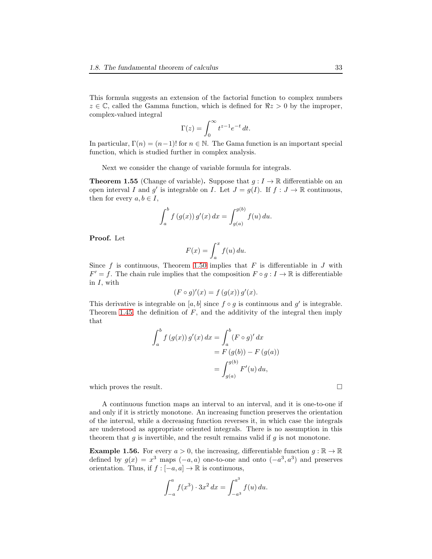This formula suggests an extension of the factorial function to complex numbers  $z \in \mathbb{C}$ , called the Gamma function, which is defined for  $\Re z > 0$  by the improper, complex-valued integral

$$
\Gamma(z) = \int_0^\infty t^{z-1} e^{-t} dt.
$$

In particular,  $\Gamma(n) = (n-1)!$  for  $n \in \mathbb{N}$ . The Gama function is an important special function, which is studied further in complex analysis.

Next we consider the change of variable formula for integrals.

**Theorem 1.55** (Change of variable). Suppose that  $g: I \to \mathbb{R}$  differentiable on an open interval I and g' is integrable on I. Let  $J = g(I)$ . If  $f : J \to \mathbb{R}$  continuous, then for every  $a, b \in I$ ,

$$
\int_{a}^{b} f(g(x)) g'(x) dx = \int_{g(a)}^{g(b)} f(u) du.
$$

Proof. Let

$$
F(x) = \int_{a}^{x} f(u) \, du.
$$

Since f is continuous, Theorem [1.50](#page-29-0) implies that F is differentiable in J with  $F' = f$ . The chain rule implies that the composition  $F \circ g : I \to \mathbb{R}$  is differentiable in  $I$ , with

$$
(F \circ g)'(x) = f(g(x)) g'(x).
$$

This derivative is integrable on  $[a, b]$  since  $f \circ g$  is continuous and  $g'$  is integrable. Theorem [1.45,](#page-26-0) the definition of  $F$ , and the additivity of the integral then imply that

$$
\int_a^b f(g(x)) g'(x) dx = \int_a^b (F \circ g)' dx
$$
  
=  $F(g(b)) - F(g(a))$   
=  $\int_{g(a)}^{g(b)} F'(u) du$ ,

which proves the result.

A continuous function maps an interval to an interval, and it is one-to-one if and only if it is strictly monotone. An increasing function preserves the orientation of the interval, while a decreasing function reverses it, in which case the integrals are understood as appropriate oriented integrals. There is no assumption in this theorem that  $g$  is invertible, and the result remains valid if  $g$  is not monotone.

**Example 1.56.** For every  $a > 0$ , the increasing, differentiable function  $g : \mathbb{R} \to \mathbb{R}$ defined by  $g(x) = x^3$  maps  $(-a, a)$  one-to-one and onto  $(-a^3, a^3)$  and preserves orientation. Thus, if  $f:[-a,a]\rightarrow \mathbb{R}$  is continuous,

$$
\int_{-a}^{a} f(x^3) \cdot 3x^2 dx = \int_{-a^3}^{a^3} f(u) du.
$$

$$
\qquad \qquad \Box
$$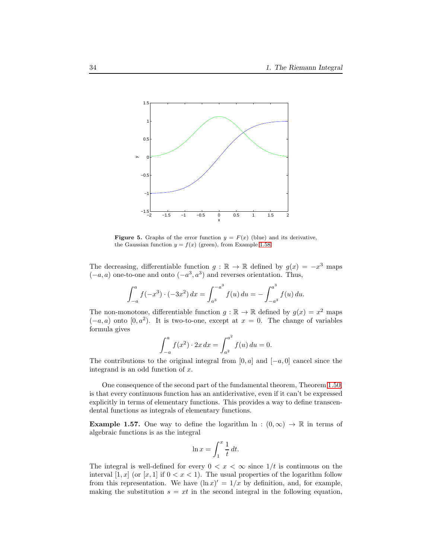

<span id="page-33-0"></span>**Figure 5.** Graphs of the error function  $y = F(x)$  (blue) and its derivative, the Gaussian function  $y = f(x)$  (green), from Example [1.58.](#page-34-0)

The decreasing, differentiable function  $g : \mathbb{R} \to \mathbb{R}$  defined by  $g(x) = -x^3$  maps  $(-a, a)$  one-to-one and onto  $(-a^3, a^3)$  and reverses orientation. Thus,

$$
\int_{-a}^{a} f(-x^3) \cdot (-3x^2) \, dx = \int_{a^3}^{-a^3} f(u) \, du = -\int_{-a^3}^{a^3} f(u) \, du.
$$

The non-monotone, differentiable function  $g : \mathbb{R} \to \mathbb{R}$  defined by  $g(x) = x^2$  maps  $(-a, a)$  onto  $[0, a^2)$ . It is two-to-one, except at  $x = 0$ . The change of variables formula gives

$$
\int_{-a}^{a} f(x^2) \cdot 2x \, dx = \int_{a^2}^{a^2} f(u) \, du = 0.
$$

The contributions to the original integral from [0, a] and  $[-a, 0]$  cancel since the integrand is an odd function of  $x$ .

One consequence of the second part of the fundamental theorem, Theorem [1.50,](#page-29-0) is that every continuous function has an antiderivative, even if it can't be expressed explicitly in terms of elementary functions. This provides a way to define transcendental functions as integrals of elementary functions.

**Example 1.57.** One way to define the logarithm ln :  $(0, \infty) \rightarrow \mathbb{R}$  in terms of algebraic functions is as the integral

$$
\ln x = \int_1^x \frac{1}{t} \, dt.
$$

The integral is well-defined for every  $0 < x < \infty$  since  $1/t$  is continuous on the interval  $[1, x]$  (or  $[x, 1]$  if  $0 < x < 1$ ). The usual properties of the logarithm follow from this representation. We have  $(\ln x)' = 1/x$  by definition, and, for example, making the substitution  $s = xt$  in the second integral in the following equation,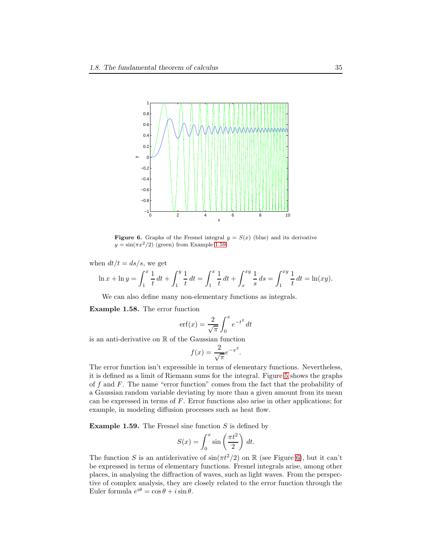

<span id="page-34-2"></span>**Figure 6.** Graphs of the Fresnel integral  $y = S(x)$  (blue) and its derivative  $y = \sin(\pi x^2/2)$  (green) from Example [1.59.](#page-34-1)

when  $dt/t = ds/s$ , we get

$$
\ln x + \ln y = \int_1^x \frac{1}{t} dt + \int_1^y \frac{1}{t} dt = \int_1^x \frac{1}{t} dt + \int_x^{xy} \frac{1}{s} ds = \int_1^{xy} \frac{1}{t} dt = \ln(xy).
$$

We can also define many non-elementary functions as integrals.

<span id="page-34-0"></span>Example 1.58. The error function

$$
\operatorname{erf}(x) = \frac{2}{\sqrt{\pi}} \int_0^x e^{-t^2} dt
$$

is an anti-derivative on R of the Gaussian function

$$
f(x) = \frac{2}{\sqrt{\pi}} e^{-x^2}.
$$

The error function isn't expressible in terms of elementary functions. Nevertheless, it is defined as a limit of Riemann sums for the integral. Figure [5](#page-33-0) shows the graphs of  $f$  and  $F$ . The name "error function" comes from the fact that the probability of a Gaussian random variable deviating by more than a given amount from its mean can be expressed in terms of  $F$ . Error functions also arise in other applications; for example, in modeling diffusion processes such as heat flow.

<span id="page-34-1"></span>**Example 1.59.** The Fresnel sine function  $S$  is defined by

$$
S(x) = \int_0^x \sin\left(\frac{\pi t^2}{2}\right) dt.
$$

The function S is an antiderivative of  $\sin(\pi t^2/2)$  on R (see Figure [6\)](#page-34-2), but it can't be expressed in terms of elementary functions. Fresnel integrals arise, among other places, in analysing the diffraction of waves, such as light waves. From the perspective of complex analysis, they are closely related to the error function through the Euler formula  $e^{i\theta} = \cos \theta + i \sin \theta$ .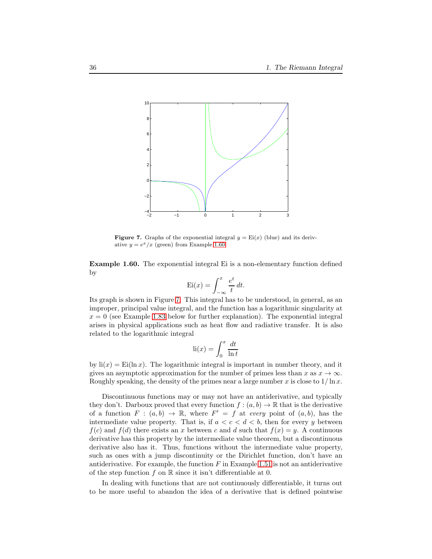

<span id="page-35-1"></span>**Figure 7.** Graphs of the exponential integral  $y = \text{Ei}(x)$  (blue) and its derivative  $y = e^x/x$  (green) from Example [1.60.](#page-35-0)

<span id="page-35-0"></span>Example 1.60. The exponential integral Ei is a non-elementary function defined by

$$
Ei(x) = \int_{-\infty}^{x} \frac{e^t}{t} dt.
$$

Its graph is shown in Figure [7.](#page-35-1) This integral has to be understood, in general, as an improper, principal value integral, and the function has a logarithmic singularity at  $x = 0$  (see Example [1.83](#page-47-0) below for further explanation). The exponential integral arises in physical applications such as heat flow and radiative transfer. It is also related to the logarithmic integral

$$
\operatorname{li}(x) = \int_0^x \frac{dt}{\ln t}
$$

by  $\text{li}(x) = \text{Ei}(\ln x)$ . The logarithmic integral is important in number theory, and it gives an asymptotic approximation for the number of primes less than x as  $x \to \infty$ . Roughly speaking, the density of the primes near a large number x is close to  $1/\ln x$ .

Discontinuous functions may or may not have an antiderivative, and typically they don't. Darboux proved that every function  $f : (a, b) \to \mathbb{R}$  that is the derivative of a function  $F : (a, b) \to \mathbb{R}$ , where  $F' = f$  at every point of  $(a, b)$ , has the intermediate value property. That is, if  $a < c < d < b$ , then for every y between  $f(c)$  and  $f(d)$  there exists an x between c and d such that  $f(x) = y$ . A continuous derivative has this property by the intermediate value theorem, but a discontinuous derivative also has it. Thus, functions without the intermediate value property, such as ones with a jump discontinuity or the Dirichlet function, don't have an antiderivative. For example, the function  $F$  in Example [1.51](#page-30-0) is not an antiderivative of the step function f on  $\mathbb R$  since it isn't differentiable at 0.

In dealing with functions that are not continuously differentiable, it turns out to be more useful to abandon the idea of a derivative that is defined pointwise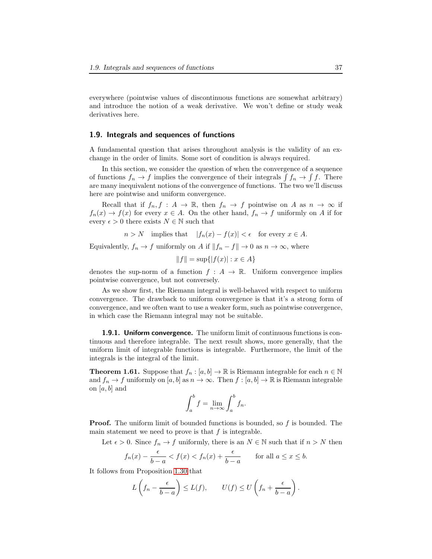everywhere (pointwise values of discontinuous functions are somewhat arbitrary) and introduce the notion of a weak derivative. We won't define or study weak derivatives here.

### 1.9. Integrals and sequences of functions

A fundamental question that arises throughout analysis is the validity of an exchange in the order of limits. Some sort of condition is always required.

In this section, we consider the question of when the convergence of a sequence of functions  $f_n \to f$  implies the convergence of their integrals  $\int f_n \to \int f$ . There are many inequivalent notions of the convergence of functions. The two we'll discuss here are pointwise and uniform convergence.

Recall that if  $f_n, f : A \to \mathbb{R}$ , then  $f_n \to f$  pointwise on A as  $n \to \infty$  if  $f_n(x) \to f(x)$  for every  $x \in A$ . On the other hand,  $f_n \to f$  uniformly on A if for every  $\epsilon > 0$  there exists  $N \in \mathbb{N}$  such that

$$
n > N
$$
 implies that  $|f_n(x) - f(x)| < \epsilon$  for every  $x \in A$ .

Equivalently,  $f_n \to f$  uniformly on A if  $||f_n - f|| \to 0$  as  $n \to \infty$ , where

$$
||f|| = \sup\{|f(x)| : x \in A\}
$$

denotes the sup-norm of a function  $f : A \to \mathbb{R}$ . Uniform convergence implies pointwise convergence, but not conversely.

As we show first, the Riemann integral is well-behaved with respect to uniform convergence. The drawback to uniform convergence is that it's a strong form of convergence, and we often want to use a weaker form, such as pointwise convergence, in which case the Riemann integral may not be suitable.

1.9.1. Uniform convergence. The uniform limit of continuous functions is continuous and therefore integrable. The next result shows, more generally, that the uniform limit of integrable functions is integrable. Furthermore, the limit of the integrals is the integral of the limit.

**Theorem 1.61.** Suppose that  $f_n : [a, b] \to \mathbb{R}$  is Riemann integrable for each  $n \in \mathbb{N}$ and  $f_n \to f$  uniformly on  $[a, b]$  as  $n \to \infty$ . Then  $f : [a, b] \to \mathbb{R}$  is Riemann integrable on  $[a, b]$  and

$$
\int_a^b f = \lim_{n \to \infty} \int_a^b f_n.
$$

**Proof.** The uniform limit of bounded functions is bounded, so f is bounded. The main statement we need to prove is that  $f$  is integrable.

Let  $\epsilon > 0$ . Since  $f_n \to f$  uniformly, there is an  $N \in \mathbb{N}$  such that if  $n > N$  then

$$
f_n(x) - \frac{\epsilon}{b-a} < f(x) < f_n(x) + \frac{\epsilon}{b-a}
$$
 for all  $a \le x \le b$ .

It follows from Proposition [1.30](#page-18-1) that

$$
L\left(f_n - \frac{\epsilon}{b-a}\right) \le L(f), \qquad U(f) \le U\left(f_n + \frac{\epsilon}{b-a}\right).
$$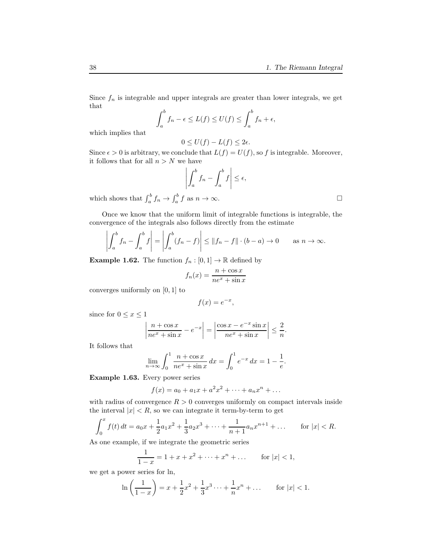Since  $f_n$  is integrable and upper integrals are greater than lower integrals, we get that

$$
\int_a^b f_n - \epsilon \le L(f) \le U(f) \le \int_a^b f_n + \epsilon,
$$

which implies that

$$
0 \le U(f) - L(f) \le 2\epsilon.
$$

Since  $\epsilon > 0$  is arbitrary, we conclude that  $L(f) = U(f)$ , so f is integrable. Moreover, it follows that for all  $n > N$  we have

$$
\left| \int_a^b f_n - \int_a^b f \right| \le \epsilon,
$$

which shows that  $\int_a^b f_n \to \int_a^b f$  as  $n \to \infty$ .

Once we know that the uniform limit of integrable functions is integrable, the convergence of the integrals also follows directly from the estimate

$$
\left| \int_a^b f_n - \int_a^b f \right| = \left| \int_a^b (f_n - f) \right| \le ||f_n - f|| \cdot (b - a) \to 0 \quad \text{as } n \to \infty.
$$

**Example 1.62.** The function  $f_n : [0,1] \to \mathbb{R}$  defined by

$$
f_n(x) = \frac{n + \cos x}{ne^x + \sin x}
$$

converges uniformly on [0, 1] to

$$
f(x) = e^{-x},
$$

since for  $0 \leq x \leq 1$ 

$$
\left|\frac{n+\cos x}{n e^x + \sin x} - e^{-x}\right| = \left|\frac{\cos x - e^{-x} \sin x}{n e^x + \sin x}\right| \le \frac{2}{n}.
$$

It follows that

$$
\lim_{n \to \infty} \int_0^1 \frac{n + \cos x}{ne^x + \sin x} dx = \int_0^1 e^{-x} dx = 1 - \frac{1}{e}.
$$

Example 1.63. Every power series

$$
f(x) = a_0 + a_1 x + a^2 x^2 + \dots + a_n x^n + \dots
$$

with radius of convergence  $R > 0$  converges uniformly on compact intervals inside the interval  $|x| < R$ , so we can integrate it term-by-term to get

$$
\int_0^x f(t) dt = a_0 x + \frac{1}{2} a_1 x^2 + \frac{1}{3} a_2 x^3 + \dots + \frac{1}{n+1} a_n x^{n+1} + \dots \quad \text{for } |x| < R.
$$

As one example, if we integrate the geometric series

$$
\frac{1}{1-x} = 1 + x + x^2 + \dots + x^n + \dots \quad \text{for } |x| < 1,
$$

we get a power series for ln,

$$
\ln\left(\frac{1}{1-x}\right) = x + \frac{1}{2}x^2 + \frac{1}{3}x^3 + \dots + \frac{1}{n}x^n + \dots \quad \text{for } |x| < 1.
$$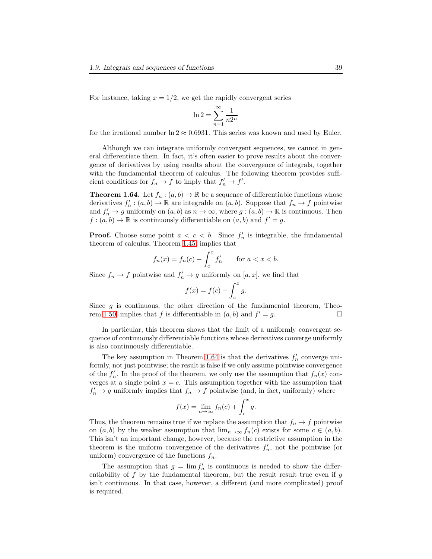For instance, taking  $x = 1/2$ , we get the rapidly convergent series

$$
\ln 2 = \sum_{n=1}^{\infty} \frac{1}{n2^n}
$$

for the irrational number  $\ln 2 \approx 0.6931$ . This series was known and used by Euler.

Although we can integrate uniformly convergent sequences, we cannot in general differentiate them. In fact, it's often easier to prove results about the convergence of derivatives by using results about the convergence of integrals, together with the fundamental theorem of calculus. The following theorem provides sufficient conditions for  $f_n \to f$  to imply that  $f'_n \to f'$ .

<span id="page-38-0"></span>**Theorem 1.64.** Let  $f_n : (a, b) \to \mathbb{R}$  be a sequence of differentiable functions whose derivatives  $f'_n : (a, b) \to \mathbb{R}$  are integrable on  $(a, b)$ . Suppose that  $f_n \to f$  pointwise and  $f'_n \to g$  uniformly on  $(a, b)$  as  $n \to \infty$ , where  $g : (a, b) \to \mathbb{R}$  is continuous. Then  $f:(a,b)\to\mathbb{R}$  is continuously differentiable on  $(a,b)$  and  $f'=g$ .

**Proof.** Choose some point  $a < c < b$ . Since  $f'_n$  is integrable, the fundamental theorem of calculus, Theorem [1.45,](#page-26-0) implies that

$$
f_n(x) = f_n(c) + \int_c^x f'_n \quad \text{for } a < x < b.
$$

Since  $f_n \to f$  pointwise and  $f'_n \to g$  uniformly on  $[a, x]$ , we find that

$$
f(x) = f(c) + \int_c^x g.
$$

Since  $q$  is continuous, the other direction of the fundamental theorem, Theo-rem [1.50,](#page-29-0) implies that f is differentiable in  $(a, b)$  and  $f' = g$ .

In particular, this theorem shows that the limit of a uniformly convergent sequence of continuously differentiable functions whose derivatives converge uniformly is also continuously differentiable.

The key assumption in Theorem [1.64](#page-38-0) is that the derivatives  $f'_n$  converge uniformly, not just pointwise; the result is false if we only assume pointwise convergence of the  $f'_n$ . In the proof of the theorem, we only use the assumption that  $f_n(x)$  converges at a single point  $x = c$ . This assumption together with the assumption that  $f'_n \to g$  uniformly implies that  $f_n \to f$  pointwise (and, in fact, uniformly) where

$$
f(x) = \lim_{n \to \infty} f_n(c) + \int_c^x g.
$$

Thus, the theorem remains true if we replace the assumption that  $f_n \to f$  pointwise on  $(a, b)$  by the weaker assumption that  $\lim_{n\to\infty} f_n(c)$  exists for some  $c \in (a, b)$ . This isn't an important change, however, because the restrictive assumption in the theorem is the uniform convergence of the derivatives  $f'_n$ , not the pointwise (or uniform) convergence of the functions  $f_n$ .

The assumption that  $g = \lim f'_n$  is continuous is needed to show the differentiability of f by the fundamental theorem, but the result result true even if  $q$ isn't continuous. In that case, however, a different (and more complicated) proof is required.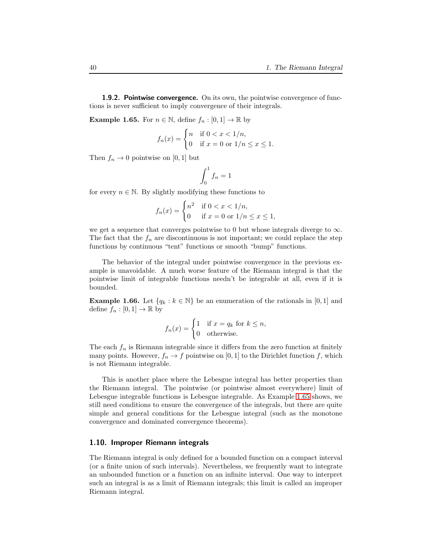**1.9.2. Pointwise convergence.** On its own, the pointwise convergence of functions is never sufficient to imply convergence of their integrals.

<span id="page-39-1"></span>**Example 1.65.** For  $n \in \mathbb{N}$ , define  $f_n : [0,1] \to \mathbb{R}$  by

$$
f_n(x) = \begin{cases} n & \text{if } 0 < x < 1/n, \\ 0 & \text{if } x = 0 \text{ or } 1/n \le x \le 1. \end{cases}
$$

Then  $f_n \to 0$  pointwise on [0, 1] but

$$
\int_0^1 f_n = 1
$$

for every  $n \in \mathbb{N}$ . By slightly modifying these functions to

$$
f_n(x) = \begin{cases} n^2 & \text{if } 0 < x < 1/n, \\ 0 & \text{if } x = 0 \text{ or } 1/n \le x \le 1, \end{cases}
$$

we get a sequence that converges pointwise to 0 but whose integrals diverge to  $\infty$ . The fact that the  $f_n$  are discontinuous is not important; we could replace the step functions by continuous "tent" functions or smooth "bump" functions.

The behavior of the integral under pointwise convergence in the previous example is unavoidable. A much worse feature of the Riemann integral is that the pointwise limit of integrable functions needn't be integrable at all, even if it is bounded.

**Example 1.66.** Let  $\{q_k : k \in \mathbb{N}\}$  be an enumeration of the rationals in [0, 1] and define  $f_n : [0,1] \to \mathbb{R}$  by

$$
f_n(x) = \begin{cases} 1 & \text{if } x = q_k \text{ for } k \le n, \\ 0 & \text{otherwise.} \end{cases}
$$

The each  $f_n$  is Riemann integrable since it differs from the zero function at finitely many points. However,  $f_n \to f$  pointwise on [0, 1] to the Dirichlet function f, which is not Riemann integrable.

This is another place where the Lebesgue integral has better properties than the Riemann integral. The pointwise (or pointwise almost everywhere) limit of Lebesgue integrable functions is Lebesgue integrable. As Example [1.65](#page-39-1) shows, we still need conditions to ensure the convergence of the integrals, but there are quite simple and general conditions for the Lebesgue integral (such as the monotone convergence and dominated convergence theorems).

#### <span id="page-39-0"></span>1.10. Improper Riemann integrals

The Riemann integral is only defined for a bounded function on a compact interval (or a finite union of such intervals). Nevertheless, we frequently want to integrate an unbounded function or a function on an infinite interval. One way to interpret such an integral is as a limit of Riemann integrals; this limit is called an improper Riemann integral.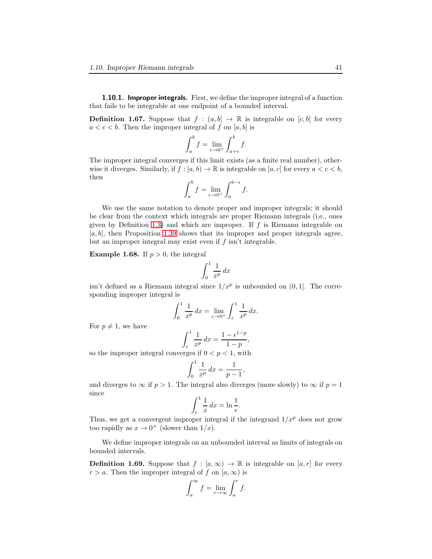1.10.1. Improper integrals. First, we define the improper integral of a function that fails to be integrable at one endpoint of a bounded interval.

**Definition 1.67.** Suppose that  $f : (a, b] \rightarrow \mathbb{R}$  is integrable on  $[c, b]$  for every  $a < c < b$ . Then the improper integral of f on [a, b] is

$$
\int_{a}^{b} f = \lim_{\epsilon \to 0^{+}} \int_{a+\epsilon}^{b} f.
$$

The improper integral converges if this limit exists (as a finite real number), otherwise it diverges. Similarly, if  $f : [a, b] \to \mathbb{R}$  is integrable on  $[a, c]$  for every  $a < c < b$ , then

$$
\int_a^b f = \lim_{\epsilon \to 0^+} \int_a^{b-\epsilon} f.
$$

We use the same notation to denote proper and improper integrals; it should be clear from the context which integrals are proper Riemann integrals (i.e., ones given by Definition [1.3\)](#page-3-0) and which are improper. If  $f$  is Riemann integrable on  $[a, b]$ , then Proposition [1.39](#page-23-0) shows that its improper and proper integrals agree, but an improper integral may exist even if f isn't integrable.

<span id="page-40-0"></span>**Example 1.68.** If  $p > 0$ , the integral

$$
\int_0^1 \frac{1}{x^p} \, dx
$$

isn't defined as a Riemann integral since  $1/x^p$  is unbounded on  $(0, 1]$ . The corresponding improper integral is

$$
\int_0^1 \frac{1}{x^p} dx = \lim_{\epsilon \to 0^+} \int_{\epsilon}^1 \frac{1}{x^p} dx.
$$

For  $p \neq 1$ , we have

$$
\int_{\epsilon}^{1} \frac{1}{x^p} dx = \frac{1 - \epsilon^{1-p}}{1 - p},
$$

so the improper integral converges if  $0 < p < 1$ , with

$$
\int_0^1 \frac{1}{x^p} \, dx = \frac{1}{p-1},
$$

and diverges to  $\infty$  if  $p > 1$ . The integral also diverges (more slowly) to  $\infty$  if  $p = 1$ since

$$
\int_{\epsilon}^{1} \frac{1}{x} \, dx = \ln \frac{1}{\epsilon}.
$$

Thus, we get a convergent improper integral if the integrand  $1/x^p$  does not grow too rapidly as  $x \to 0^+$  (slower than  $1/x$ ).

We define improper integrals on an unbounded interval as limits of integrals on bounded intervals.

**Definition 1.69.** Suppose that  $f : [a, \infty) \to \mathbb{R}$  is integrable on  $[a, r]$  for every  $r > a$ . Then the improper integral of f on  $[a, \infty)$  is

$$
\int_{a}^{\infty} f = \lim_{r \to \infty} \int_{a}^{r} f.
$$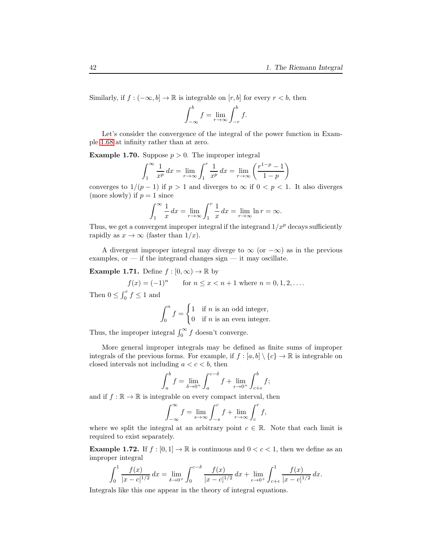Similarly, if  $f: (-\infty, b] \to \mathbb{R}$  is integrable on  $[r, b]$  for every  $r < b$ , then

$$
\int_{-\infty}^{b} f = \lim_{r \to \infty} \int_{-r}^{b} f.
$$

Let's consider the convergence of the integral of the power function in Example [1.68](#page-40-0) at infinity rather than at zero.

**Example 1.70.** Suppose  $p > 0$ . The improper integral

$$
\int_{1}^{\infty} \frac{1}{x^p} dx = \lim_{r \to \infty} \int_{1}^{r} \frac{1}{x^p} dx = \lim_{r \to \infty} \left( \frac{r^{1-p} - 1}{1 - p} \right)
$$

converges to  $1/(p-1)$  if  $p > 1$  and diverges to  $\infty$  if  $0 < p < 1$ . It also diverges (more slowly) if  $p = 1$  since

$$
\int_{1}^{\infty} \frac{1}{x} dx = \lim_{r \to \infty} \int_{1}^{r} \frac{1}{x} dx = \lim_{r \to \infty} \ln r = \infty.
$$

Thus, we get a convergent improper integral if the integrand  $1/x^p$  decays sufficiently rapidly as  $x \to \infty$  (faster than  $1/x$ ).

A divergent improper integral may diverge to  $\infty$  (or  $-\infty$ ) as in the previous examples, or — if the integrand changes sign — it may oscillate.

**Example 1.71.** Define  $f : [0, \infty) \to \mathbb{R}$  by

$$
f(x) = (-1)^n
$$
 for  $n \le x < n + 1$  where  $n = 0, 1, 2, ...$ 

Then  $0 \leq \int_0^r f \leq 1$  and

$$
\int_0^n f = \begin{cases} 1 & \text{if } n \text{ is an odd integer,} \\ 0 & \text{if } n \text{ is an even integer.} \end{cases}
$$

Thus, the improper integral  $\int_0^\infty f$  doesn't converge.

More general improper integrals may be defined as finite sums of improper integrals of the previous forms. For example, if  $f : [a, b] \setminus \{c\} \to \mathbb{R}$  is integrable on closed intervals not including  $a < c < b$ , then

$$
\int_{a}^{b} f = \lim_{\delta \to 0^{+}} \int_{a}^{c-\delta} f + \lim_{\epsilon \to 0^{+}} \int_{c+\epsilon}^{b} f;
$$

and if  $f : \mathbb{R} \to \mathbb{R}$  is integrable on every compact interval, then

$$
\int_{-\infty}^{\infty} f = \lim_{s \to \infty} \int_{-s}^{c} f + \lim_{r \to \infty} \int_{c}^{r} f,
$$

where we split the integral at an arbitrary point  $c \in \mathbb{R}$ . Note that each limit is required to exist separately.

**Example 1.72.** If  $f : [0,1] \to \mathbb{R}$  is continuous and  $0 < c < 1$ , then we define as an improper integral

$$
\int_0^1 \frac{f(x)}{|x-c|^{1/2}} dx = \lim_{\delta \to 0^+} \int_0^{c-\delta} \frac{f(x)}{|x-c|^{1/2}} dx + \lim_{\epsilon \to 0^+} \int_{c+\epsilon}^1 \frac{f(x)}{|x-c|^{1/2}} dx.
$$

Integrals like this one appear in the theory of integral equations.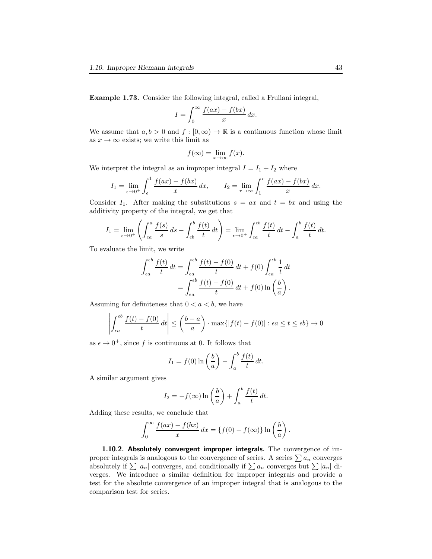Example 1.73. Consider the following integral, called a Frullani integral,

$$
I = \int_0^\infty \frac{f(ax) - f(bx)}{x} dx.
$$

We assume that  $a, b > 0$  and  $f : [0, \infty) \to \mathbb{R}$  is a continuous function whose limit as  $x \to \infty$  exists; we write this limit as

$$
f(\infty) = \lim_{x \to \infty} f(x).
$$

We interpret the integral as an improper integral  $I = I_1 + I_2$  where

$$
I_1 = \lim_{\epsilon \to 0^+} \int_{\epsilon}^1 \frac{f(ax) - f(bx)}{x} dx, \qquad I_2 = \lim_{r \to \infty} \int_1^r \frac{f(ax) - f(bx)}{x} dx.
$$

Consider  $I_1$ . After making the substitutions  $s = ax$  and  $t = bx$  and using the additivity property of the integral, we get that

$$
I_1 = \lim_{\epsilon \to 0^+} \left( \int_{\epsilon a}^a \frac{f(s)}{s} ds - \int_{\epsilon b}^b \frac{f(t)}{t} dt \right) = \lim_{\epsilon \to 0^+} \int_{\epsilon a}^{\epsilon b} \frac{f(t)}{t} dt - \int_a^b \frac{f(t)}{t} dt.
$$

To evaluate the limit, we write

$$
\int_{\epsilon a}^{\epsilon b} \frac{f(t)}{t} dt = \int_{\epsilon a}^{\epsilon b} \frac{f(t) - f(0)}{t} dt + f(0) \int_{\epsilon a}^{\epsilon b} \frac{1}{t} dt
$$

$$
= \int_{\epsilon a}^{\epsilon b} \frac{f(t) - f(0)}{t} dt + f(0) \ln\left(\frac{b}{a}\right).
$$

Assuming for definiteness that  $0 < a < b$ , we have

$$
\left| \int_{\epsilon a}^{\epsilon b} \frac{f(t) - f(0)}{t} dt \right| \le \left( \frac{b - a}{a} \right) \cdot \max\{|f(t) - f(0)| : \epsilon a \le t \le \epsilon b\} \to 0
$$

as  $\epsilon \to 0^+$ , since f is continuous at 0. It follows that

$$
I_1 = f(0) \ln \left(\frac{b}{a}\right) - \int_a^b \frac{f(t)}{t} dt.
$$

A similar argument gives

$$
I_2 = -f(\infty) \ln\left(\frac{b}{a}\right) + \int_a^b \frac{f(t)}{t} dt.
$$

Adding these results, we conclude that

$$
\int_0^\infty \frac{f(ax) - f(bx)}{x} dx = \{f(0) - f(\infty)\} \ln\left(\frac{b}{a}\right)
$$

.

1.10.2. Absolutely convergent improper integrals. The convergence of improper integrals is analogous to the convergence of series. A series  $\sum a_n$  converges absolutely if  $\sum |a_n|$  converges, and conditionally if  $\sum a_n$  converges but  $\sum |a_n|$  diverges. We introduce a similar definition for improper integrals and provide a test for the absolute convergence of an improper integral that is analogous to the comparison test for series.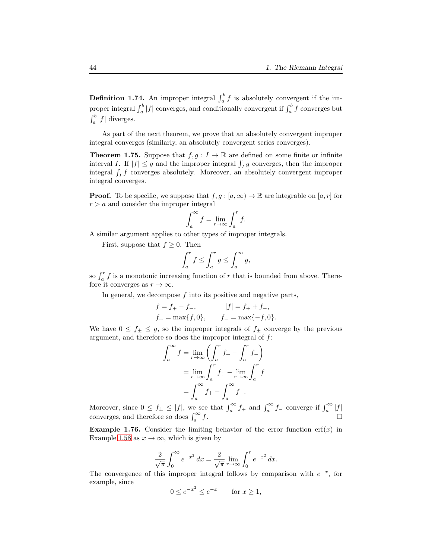**Definition 1.74.** An improper integral  $\int_a^b f$  is absolutely convergent if the improper integral  $\int_a^b |f|$  converges, and conditionally convergent if  $\int_a^b f$  converges but  $\int_a^b |f|$  diverges.

As part of the next theorem, we prove that an absolutely convergent improper integral converges (similarly, an absolutely convergent series converges).

**Theorem 1.75.** Suppose that  $f, g: I \to \mathbb{R}$  are defined on some finite or infinite interval I. If  $|f| \leq g$  and the improper integral  $\int_I g$  converges, then the improper integral  $\int_I f$  converges absolutely. Moreover, an absolutely convergent improper integral converges.

**Proof.** To be specific, we suppose that  $f, g : [a, \infty) \to \mathbb{R}$  are integrable on  $[a, r]$  for  $r > a$  and consider the improper integral

$$
\int_{a}^{\infty} f = \lim_{r \to \infty} \int_{a}^{r} f.
$$

A similar argument applies to other types of improper integrals.

First, suppose that  $f \geq 0$ . Then

$$
\int_a^r f \le \int_a^r g \le \int_a^\infty g,
$$

so  $\int_a^r f$  is a monotonic increasing function of r that is bounded from above. Therefore it converges as  $r \to \infty$ .

In general, we decompose  $f$  into its positive and negative parts,

$$
f = f_{+} - f_{-}
$$
,  $|f| = f_{+} + f_{-}$ ,  
\n $f_{+} = \max\{f, 0\}$ ,  $f_{-} = \max\{-f, 0\}$ .

We have  $0 \leq f_{\pm} \leq g$ , so the improper integrals of  $f_{\pm}$  converge by the previous argument, and therefore so does the improper integral of  $f$ :

$$
\int_{a}^{\infty} f = \lim_{r \to \infty} \left( \int_{a}^{r} f_{+} - \int_{a}^{r} f_{-} \right)
$$

$$
= \lim_{r \to \infty} \int_{a}^{r} f_{+} - \lim_{r \to \infty} \int_{a}^{r} f_{-}
$$

$$
= \int_{a}^{\infty} f_{+} - \int_{a}^{\infty} f_{-}.
$$

Moreover, since  $0 \le f_{\pm} \le |f|$ , we see that  $\int_{a}^{\infty} f_{+}$  and  $\int_{a}^{\infty} f_{-}$  converge if  $\int_{a}^{\infty} |f|$ converges, and therefore so does  $\int_a^\infty$  $f.$ 

**Example 1.76.** Consider the limiting behavior of the error function erf(x) in Example [1.58](#page-34-0) as  $x \to \infty$ , which is given by

$$
\frac{2}{\sqrt{\pi}} \int_0^\infty e^{-x^2} \, dx = \frac{2}{\sqrt{\pi}} \lim_{r \to \infty} \int_0^r e^{-x^2} \, dx.
$$

The convergence of this improper integral follows by comparison with  $e^{-x}$ , for example, since

$$
0 \le e^{-x^2} \le e^{-x} \qquad \text{for } x \ge 1,
$$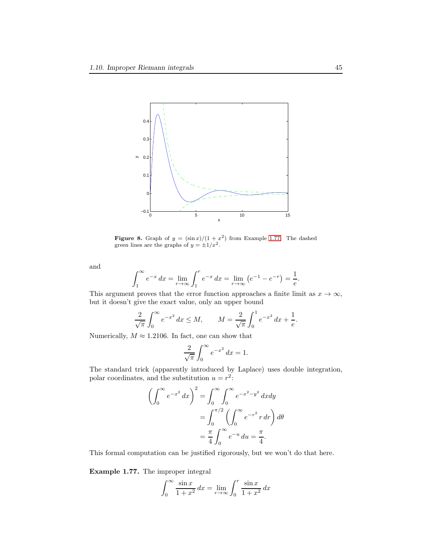

<span id="page-44-1"></span>**Figure 8.** Graph of  $y = (\sin x)/(1 + x^2)$  from Example [1.77.](#page-44-0) The dashed green lines are the graphs of  $y = \pm 1/x^2$ .

and

$$
\int_{1}^{\infty} e^{-x} dx = \lim_{r \to \infty} \int_{1}^{r} e^{-x} dx = \lim_{r \to \infty} (e^{-1} - e^{-r}) = \frac{1}{e}.
$$

This argument proves that the error function approaches a finite limit as  $x \to \infty$ , but it doesn't give the exact value, only an upper bound

$$
\frac{2}{\sqrt{\pi}} \int_0^\infty e^{-x^2} \, dx \le M, \qquad M = \frac{2}{\sqrt{\pi}} \int_0^1 e^{-x^2} \, dx + \frac{1}{e}.
$$

Numerically,  $M \approx 1.2106$ . In fact, one can show that

$$
\frac{2}{\sqrt{\pi}} \int_0^\infty e^{-x^2} \, dx = 1.
$$

The standard trick (apparently introduced by Laplace) uses double integration, polar coordinates, and the substitution  $u = r^2$ :

$$
\left(\int_0^\infty e^{-x^2} dx\right)^2 = \int_0^\infty \int_0^\infty e^{-x^2 - y^2} dx dy
$$

$$
= \int_0^{\pi/2} \left(\int_0^\infty e^{-r^2} r dr\right) d\theta
$$

$$
= \frac{\pi}{4} \int_0^\infty e^{-u} du = \frac{\pi}{4}.
$$

This formal computation can be justified rigorously, but we won't do that here.

<span id="page-44-0"></span>Example 1.77. The improper integral

$$
\int_0^\infty \frac{\sin x}{1+x^2} dx = \lim_{r \to \infty} \int_0^r \frac{\sin x}{1+x^2} dx
$$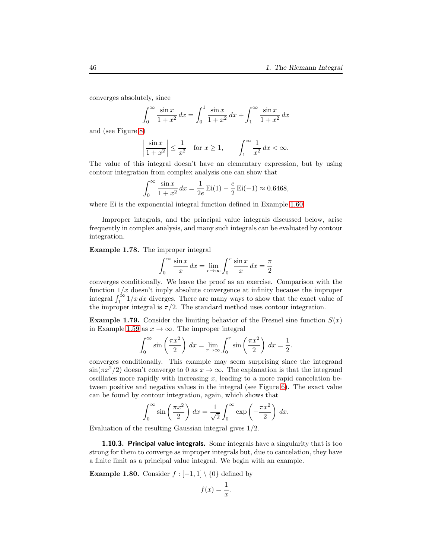converges absolutely, since

$$
\int_0^\infty \frac{\sin x}{1+x^2} \, dx = \int_0^1 \frac{\sin x}{1+x^2} \, dx + \int_1^\infty \frac{\sin x}{1+x^2} \, dx
$$

and (see Figure [8\)](#page-44-1)

$$
\left|\frac{\sin x}{1+x^2}\right| \le \frac{1}{x^2} \quad \text{for } x \ge 1, \qquad \int_1^\infty \frac{1}{x^2} \, dx < \infty.
$$

The value of this integral doesn't have an elementary expression, but by using contour integration from complex analysis one can show that

$$
\int_0^\infty \frac{\sin x}{1 + x^2} dx = \frac{1}{2e} \operatorname{Ei}(1) - \frac{e}{2} \operatorname{Ei}(-1) \approx 0.6468,
$$

where Ei is the exponential integral function defined in Example [1.60.](#page-35-0)

Improper integrals, and the principal value integrals discussed below, arise frequently in complex analysis, and many such integrals can be evaluated by contour integration.

Example 1.78. The improper integral

$$
\int_0^\infty \frac{\sin x}{x} dx = \lim_{r \to \infty} \int_0^r \frac{\sin x}{x} dx = \frac{\pi}{2}
$$

converges conditionally. We leave the proof as an exercise. Comparison with the function  $1/x$  doesn't imply absolute convergence at infinity because the improper integral  $\int_1^{\infty} 1/x dx$  diverges. There are many ways to show that the exact value of the improper integral is  $\pi/2$ . The standard method uses contour integration.

**Example 1.79.** Consider the limiting behavior of the Fresnel sine function  $S(x)$ in Example [1.59](#page-34-1) as  $x \to \infty$ . The improper integral

$$
\int_0^\infty \sin\left(\frac{\pi x^2}{2}\right) dx = \lim_{r \to \infty} \int_0^r \sin\left(\frac{\pi x^2}{2}\right) dx = \frac{1}{2}.
$$

converges conditionally. This example may seem surprising since the integrand  $\sin(\pi x^2/2)$  doesn't converge to 0 as  $x \to \infty$ . The explanation is that the integrand oscillates more rapidly with increasing  $x$ , leading to a more rapid cancelation between positive and negative values in the integral (see Figure [6\)](#page-34-2). The exact value can be found by contour integration, again, which shows that

$$
\int_0^\infty \sin\left(\frac{\pi x^2}{2}\right) dx = \frac{1}{\sqrt{2}} \int_0^\infty \exp\left(-\frac{\pi x^2}{2}\right) dx.
$$

Evaluation of the resulting Gaussian integral gives 1/2.

**1.10.3. Principal value integrals.** Some integrals have a singularity that is too strong for them to converge as improper integrals but, due to cancelation, they have a finite limit as a principal value integral. We begin with an example.

<span id="page-45-0"></span>**Example 1.80.** Consider  $f : [-1,1] \setminus \{0\}$  defined by

$$
f(x) = \frac{1}{x}.
$$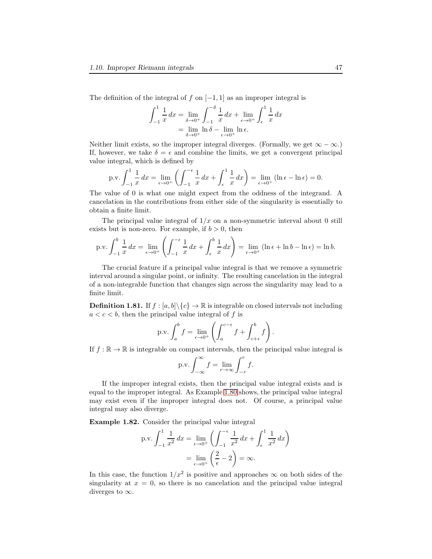The definition of the integral of f on  $[-1, 1]$  as an improper integral is

$$
\int_{-1}^{1} \frac{1}{x} dx = \lim_{\delta \to 0^{+}} \int_{-1}^{-\delta} \frac{1}{x} dx + \lim_{\epsilon \to 0^{+}} \int_{\epsilon}^{1} \frac{1}{x} dx
$$

$$
= \lim_{\delta \to 0^{+}} \ln \delta - \lim_{\epsilon \to 0^{+}} \ln \epsilon.
$$

Neither limit exists, so the improper integral diverges. (Formally, we get  $\infty - \infty$ .) If, however, we take  $\delta = \epsilon$  and combine the limits, we get a convergent principal value integral, which is defined by

$$
\text{p.v.} \int_{-1}^{1} \frac{1}{x} \, dx = \lim_{\epsilon \to 0^+} \left( \int_{-1}^{-\epsilon} \frac{1}{x} \, dx + \int_{\epsilon}^{1} \frac{1}{x} \, dx \right) = \lim_{\epsilon \to 0^+} \left( \ln \epsilon - \ln \epsilon \right) = 0.
$$

The value of 0 is what one might expect from the oddness of the integrand. A cancelation in the contributions from either side of the singularity is essentially to obtain a finite limit.

The principal value integral of  $1/x$  on a non-symmetric interval about 0 still exists but is non-zero. For example, if  $b > 0$ , then

$$
\text{p.v.} \int_{-1}^{b} \frac{1}{x} \, dx = \lim_{\epsilon \to 0^+} \left( \int_{-1}^{-\epsilon} \frac{1}{x} \, dx + \int_{\epsilon}^{b} \frac{1}{x} \, dx \right) = \lim_{\epsilon \to 0^+} \left( \ln \epsilon + \ln b - \ln \epsilon \right) = \ln b.
$$

The crucial feature if a principal value integral is that we remove a symmetric interval around a singular point, or infinity. The resulting cancelation in the integral of a non-integrable function that changes sign across the singularity may lead to a finite limit.

**Definition 1.81.** If  $f : [a, b] \setminus \{c\} \to \mathbb{R}$  is integrable on closed intervals not including  $a < c < b$ , then the principal value integral of f is

$$
\text{p.v.} \int_a^b f = \lim_{\epsilon \to 0^+} \left( \int_a^{c-\epsilon} f + \int_{c+\epsilon}^b f \right).
$$

If  $f : \mathbb{R} \to \mathbb{R}$  is integrable on compact intervals, then the principal value integral is

$$
p.v. \int_{-\infty}^{\infty} f = \lim_{r \to \infty} \int_{-r}^{r} f.
$$

If the improper integral exists, then the principal value integral exists and is equal to the improper integral. As Example [1.80](#page-45-0) shows, the principal value integral may exist even if the improper integral does not. Of course, a principal value integral may also diverge.

Example 1.82. Consider the principal value integral

p.v. 
$$
\int_{-1}^{1} \frac{1}{x^2} dx = \lim_{\epsilon \to 0^+} \left( \int_{-1}^{-\epsilon} \frac{1}{x^2} dx + \int_{\epsilon}^{1} \frac{1}{x^2} dx \right)
$$

$$
= \lim_{\epsilon \to 0^+} \left( \frac{2}{\epsilon} - 2 \right) = \infty.
$$

In this case, the function  $1/x^2$  is positive and approaches  $\infty$  on both sides of the singularity at  $x = 0$ , so there is no cancelation and the principal value integral diverges to  $\infty$ .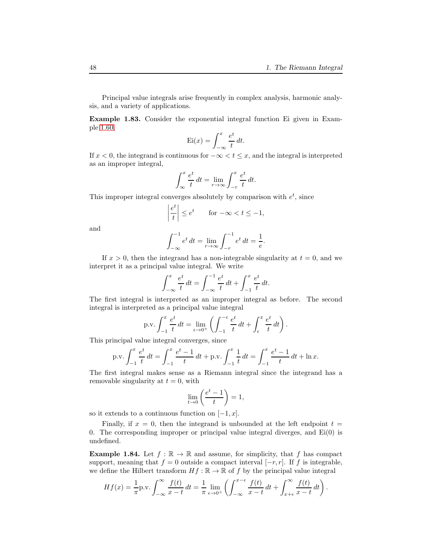Principal value integrals arise frequently in complex analysis, harmonic analysis, and a variety of applications.

<span id="page-47-0"></span>Example 1.83. Consider the exponential integral function Ei given in Example [1.60,](#page-35-0)

$$
Ei(x) = \int_{-\infty}^{x} \frac{e^t}{t} dt.
$$

If  $x < 0$ , the integrand is continuous for  $-\infty < t \leq x$ , and the integral is interpreted as an improper integral,

$$
\int_{-\infty}^{x} \frac{e^t}{t} dt = \lim_{r \to \infty} \int_{-r}^{x} \frac{e^t}{t} dt.
$$

This improper integral converges absolutely by comparison with  $e^t$ , since

$$
\left|\frac{e^t}{t}\right| \le e^t \qquad \text{for } -\infty < t \le -1,
$$

and

$$
\int_{-\infty}^{-1} e^t dt = \lim_{r \to \infty} \int_{-r}^{-1} e^t dt = \frac{1}{e}.
$$

If  $x > 0$ , then the integrand has a non-integrable singularity at  $t = 0$ , and we interpret it as a principal value integral. We write

$$
\int_{-\infty}^{x} \frac{e^t}{t} dt = \int_{-\infty}^{-1} \frac{e^t}{t} dt + \int_{-1}^{x} \frac{e^t}{t} dt.
$$

The first integral is interpreted as an improper integral as before. The second integral is interpreted as a principal value integral

p.v. 
$$
\int_{-1}^{x} \frac{e^t}{t} dt = \lim_{\epsilon \to 0^+} \left( \int_{-1}^{-\epsilon} \frac{e^t}{t} dt + \int_{\epsilon}^{x} \frac{e^t}{t} dt \right).
$$

This principal value integral converges, since

p.v. 
$$
\int_{-1}^{x} \frac{e^t}{t} dt = \int_{-1}^{x} \frac{e^t - 1}{t} dt + \text{p.v.} \int_{-1}^{x} \frac{1}{t} dt = \int_{-1}^{x} \frac{e^t - 1}{t} dt + \ln x.
$$

The first integral makes sense as a Riemann integral since the integrand has a removable singularity at  $t = 0$ , with

$$
\lim_{t \to 0} \left( \frac{e^t - 1}{t} \right) = 1,
$$

so it extends to a continuous function on  $[-1, x]$ .

Finally, if  $x = 0$ , then the integrand is unbounded at the left endpoint  $t =$ 0. The corresponding improper or principal value integral diverges, and  $Ei(0)$  is undefined.

**Example 1.84.** Let  $f : \mathbb{R} \to \mathbb{R}$  and assume, for simplicity, that f has compact support, meaning that  $f = 0$  outside a compact interval  $[-r, r]$ . If f is integrable, we define the Hilbert transform  $Hf : \mathbb{R} \to \mathbb{R}$  of f by the principal value integral

$$
Hf(x) = \frac{1}{\pi} \mathrm{p.v.} \int_{-\infty}^{\infty} \frac{f(t)}{x - t} dt = \frac{1}{\pi} \lim_{\epsilon \to 0^+} \left( \int_{-\infty}^{x - \epsilon} \frac{f(t)}{x - t} dt + \int_{x + \epsilon}^{\infty} \frac{f(t)}{x - t} dt \right).
$$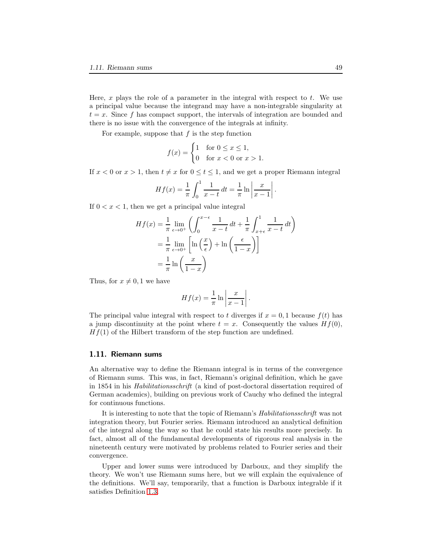Here,  $x$  plays the role of a parameter in the integral with respect to  $t$ . We use a principal value because the integrand may have a non-integrable singularity at  $t = x$ . Since f has compact support, the intervals of integration are bounded and there is no issue with the convergence of the integrals at infinity.

For example, suppose that  $f$  is the step function

$$
f(x) = \begin{cases} 1 & \text{for } 0 \le x \le 1, \\ 0 & \text{for } x < 0 \text{ or } x > 1. \end{cases}
$$

If  $x < 0$  or  $x > 1$ , then  $t \neq x$  for  $0 \leq t \leq 1$ , and we get a proper Riemann integral

$$
Hf(x) = \frac{1}{\pi} \int_0^1 \frac{1}{x - t} dt = \frac{1}{\pi} \ln \left| \frac{x}{x - 1} \right|.
$$

If  $0 < x < 1$ , then we get a principal value integral

$$
Hf(x) = \frac{1}{\pi} \lim_{\epsilon \to 0^+} \left( \int_0^{x-\epsilon} \frac{1}{x-t} dt + \frac{1}{\pi} \int_{x+\epsilon}^1 \frac{1}{x-t} dt \right)
$$
  
=  $\frac{1}{\pi} \lim_{\epsilon \to 0^+} \left[ \ln \left( \frac{x}{\epsilon} \right) + \ln \left( \frac{\epsilon}{1-x} \right) \right]$   
=  $\frac{1}{\pi} \ln \left( \frac{x}{1-x} \right)$ 

Thus, for  $x \neq 0, 1$  we have

$$
Hf(x) = \frac{1}{\pi} \ln \left| \frac{x}{x-1} \right|.
$$

The principal value integral with respect to t diverges if  $x = 0, 1$  because  $f(t)$  has a jump discontinuity at the point where  $t = x$ . Consequently the values  $Hf(0)$ ,  $Hf(1)$  of the Hilbert transform of the step function are undefined.

### 1.11. Riemann sums

An alternative way to define the Riemann integral is in terms of the convergence of Riemann sums. This was, in fact, Riemann's original definition, which he gave in 1854 in his Habilitationsschrift (a kind of post-doctoral dissertation required of German academics), building on previous work of Cauchy who defined the integral for continuous functions.

It is interesting to note that the topic of Riemann's Habilitationsschrift was not integration theory, but Fourier series. Riemann introduced an analytical definition of the integral along the way so that he could state his results more precisely. In fact, almost all of the fundamental developments of rigorous real analysis in the nineteenth century were motivated by problems related to Fourier series and their convergence.

Upper and lower sums were introduced by Darboux, and they simplify the theory. We won't use Riemann sums here, but we will explain the equivalence of the definitions. We'll say, temporarily, that a function is Darboux integrable if it satisfies Definition [1.3.](#page-3-0)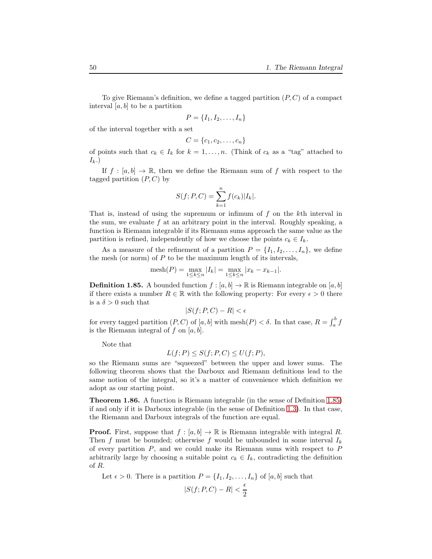To give Riemann's definition, we define a tagged partition  $(P, C)$  of a compact interval  $[a, b]$  to be a partition

$$
P = \{I_1, I_2, \ldots, I_n\}
$$

of the interval together with a set

$$
C = \{c_1, c_2, \ldots, c_n\}
$$

of points such that  $c_k \in I_k$  for  $k = 1, \ldots, n$ . (Think of  $c_k$  as a "tag" attached to  $I_k$ .

If  $f : [a, b] \to \mathbb{R}$ , then we define the Riemann sum of f with respect to the tagged partition  $(P, C)$  by

$$
S(f; P, C) = \sum_{k=1}^{n} f(c_k) |I_k|.
$$

That is, instead of using the supremum or infimum of  $f$  on the kth interval in the sum, we evaluate  $f$  at an arbitrary point in the interval. Roughly speaking, a function is Riemann integrable if its Riemann sums approach the same value as the partition is refined, independently of how we choose the points  $c_k \in I_k$ .

As a measure of the refinement of a partition  $P = \{I_1, I_2, \ldots, I_n\}$ , we define the mesh (or norm) of  $P$  to be the maximum length of its intervals,

$$
\mathrm{mesh}(P) = \max_{1 \le k \le n} |I_k| = \max_{1 \le k \le n} |x_k - x_{k-1}|.
$$

<span id="page-49-0"></span>**Definition 1.85.** A bounded function  $f : [a, b] \to \mathbb{R}$  is Riemann integrable on  $[a, b]$ if there exists a number  $R \in \mathbb{R}$  with the following property: For every  $\epsilon > 0$  there is a  $\delta > 0$  such that

$$
|S(f;P,C) - R| < \epsilon
$$

for every tagged partition  $(P, C)$  of  $[a, b]$  with  $\text{mesh}(P) < \delta$ . In that case,  $R = \int_a^b f$ is the Riemann integral of f on  $[a, b]$ .

Note that

$$
L(f; P) \le S(f; P, C) \le U(f; P),
$$

so the Riemann sums are "squeezed" between the upper and lower sums. The following theorem shows that the Darboux and Riemann definitions lead to the same notion of the integral, so it's a matter of convenience which definition we adopt as our starting point.

Theorem 1.86. A function is Riemann integrable (in the sense of Definition [1.85\)](#page-49-0) if and only if it is Darboux integrable (in the sense of Definition [1.3\)](#page-3-0). In that case, the Riemann and Darboux integrals of the function are equal.

**Proof.** First, suppose that  $f : [a, b] \to \mathbb{R}$  is Riemann integrable with integral R. Then f must be bounded; otherwise f would be unbounded in some interval  $I_k$ of every partition  $P$ , and we could make its Riemann sums with respect to  $P$ arbitrarily large by choosing a suitable point  $c_k \in I_k$ , contradicting the definition of R.

Let  $\epsilon > 0$ . There is a partition  $P = \{I_1, I_2, \ldots, I_n\}$  of  $[a, b]$  such that  $|S(f; P, C) - R| < \frac{\epsilon}{2}$ 2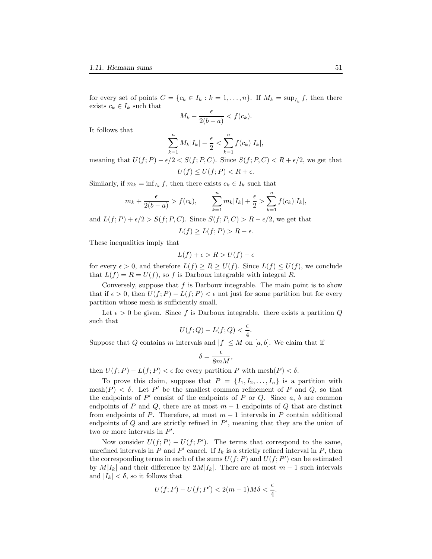for every set of points  $C = \{c_k \in I_k : k = 1, \ldots, n\}$ . If  $M_k = \sup_{I_k} f$ , then there exists  $c_k \in I_k$  such that

$$
M_k - \frac{\epsilon}{2(b-a)} < f(c_k).
$$

It follows that

$$
\sum_{k=1}^{n} M_k |I_k| - \frac{\epsilon}{2} < \sum_{k=1}^{n} f(c_k) |I_k|,
$$

meaning that  $U(f; P) - \epsilon/2 < S(f; P, C)$ . Since  $S(f; P, C) < R + \epsilon/2$ , we get that  $U(f) \leq U(f; P) < R + \epsilon.$ 

Similarly, if  $m_k = \inf_{I_k} f$ , then there exists  $c_k \in I_k$  such that

$$
m_k + \frac{\epsilon}{2(b-a)} > f(c_k),
$$
  $\sum_{k=1}^n m_k |I_k| + \frac{\epsilon}{2} > \sum_{k=1}^n f(c_k) |I_k|,$ 

and  $L(f; P) + \epsilon/2 > S(f; P, C)$ . Since  $S(f; P, C) > R - \epsilon/2$ , we get that  $L(f) > L(f; P) > R - \epsilon.$ 

These inequalities imply that

$$
L(f) + \epsilon > R > U(f) - \epsilon
$$

for every  $\epsilon > 0$ , and therefore  $L(f) \ge R \ge U(f)$ . Since  $L(f) \le U(f)$ , we conclude that  $L(f) = R = U(f)$ , so f is Darboux integrable with integral R.

Conversely, suppose that  $f$  is Darboux integrable. The main point is to show that if  $\epsilon > 0$ , then  $U(f; P) - L(f; P) < \epsilon$  not just for some partition but for every partition whose mesh is sufficiently small.

Let  $\epsilon > 0$  be given. Since f is Darboux integrable. there exists a partition Q such that

$$
U(f;Q) - L(f;Q) < \frac{\epsilon}{4}.
$$

Suppose that Q contains m intervals and  $|f| \leq M$  on [a, b]. We claim that if

$$
\delta = \frac{\epsilon}{8mM},
$$

then  $U(f; P) - L(f; P) < \epsilon$  for every partition P with mesh $(P) < \delta$ .

To prove this claim, suppose that  $P = \{I_1, I_2, \ldots, I_n\}$  is a partition with mesh $(P) < \delta$ . Let P' be the smallest common refinement of P and Q, so that the endpoints of  $P'$  consist of the endpoints of  $P$  or  $Q$ . Since  $a, b$  are common endpoints of P and Q, there are at most  $m-1$  endpoints of Q that are distinct from endpoints of P. Therefore, at most  $m-1$  intervals in P contain additional endpoints of  $Q$  and are strictly refined in  $P'$ , meaning that they are the union of two or more intervals in  $P'$ .

Now consider  $U(f; P) - U(f; P')$ . The terms that correspond to the same, unrefined intervals in  $P$  and  $P'$  cancel. If  $I_k$  is a strictly refined interval in  $P$ , then the corresponding terms in each of the sums  $U(f; P)$  and  $U(f; P')$  can be estimated by  $M|I_k|$  and their difference by  $2M|I_k|$ . There are at most  $m-1$  such intervals and  $|I_k| < \delta$ , so it follows that

$$
U(f;P) - U(f;P') < 2(m-1)M\delta < \frac{\epsilon}{4}.
$$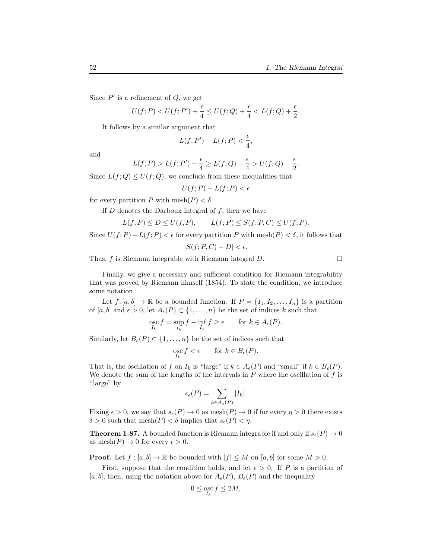Since  $P'$  is a refinement of  $Q$ , we get

$$
U(f;P) < U(f;P') + \frac{\epsilon}{4} \le U(f;Q) + \frac{\epsilon}{4} < L(f;Q) + \frac{\epsilon}{2}.
$$

It follows by a similar argument that

$$
L(f;P') - L(f;P) < \frac{\epsilon}{4},
$$

and

$$
L(f;P) > L(f;P') - \frac{\epsilon}{4} \ge L(f;Q) - \frac{\epsilon}{4} > U(f;Q) - \frac{\epsilon}{2}.
$$

Since  $L(f; Q) \leq U(f; Q)$ , we conclude from these inequalities that

$$
U(f;P) - L(f;P) < \epsilon
$$

for every partition P with mesh $(P) < \delta$ .

If  $D$  denotes the Darboux integral of  $f$ , then we have

$$
L(f; P) \le D \le U(f, P), \qquad L(f; P) \le S(f; P, C) \le U(f; P).
$$

Since  $U(f; P) - L(f; P) < \epsilon$  for every partition P with mesh $(P) < \delta$ , it follows that  $|S(f; P, C) - D| < \epsilon.$ 

Thus, f is Riemann integrable with Riemann integral  $D$ .

Finally, we give a necessary and sufficient condition for Riemann integrability that was proved by Riemann himself (1854). To state the condition, we introduce some notation.

Let  $f: [a, b] \to \mathbb{R}$  be a bounded function. If  $P = \{I_1, I_2, \ldots, I_n\}$  is a partition of [a, b] and  $\epsilon > 0$ , let  $A_{\epsilon}(P) \subset \{1, \ldots, n\}$  be the set of indices k such that

$$
\underset{I_k}{\operatorname{osc}} f = \sup_{I_k} f - \inf_{I_k} f \ge \epsilon \qquad \text{for } k \in A_{\epsilon}(P).
$$

Similarly, let  $B_{\epsilon}(P) \subset \{1, \ldots, n\}$  be the set of indices such that

$$
\underset{I_k}{\operatorname{osc}} f < \epsilon \qquad \text{for } k \in B_{\epsilon}(P).
$$

That is, the oscillation of f on  $I_k$  is "large" if  $k \in A_{\epsilon}(P)$  and "small" if  $k \in B_{\epsilon}(P)$ . We denote the sum of the lengths of the intervals in  $P$  where the oscillation of  $f$  is "large" by

$$
s_{\epsilon}(P) = \sum_{k \in A_{\epsilon}(P)} |I_k|.
$$

Fixing  $\epsilon > 0$ , we say that  $s_{\epsilon}(P) \to 0$  as  $\text{mesh}(P) \to 0$  if for every  $\eta > 0$  there exists  $\delta > 0$  such that  $\text{mesh}(P) < \delta$  implies that  $s_{\epsilon}(P) < \eta$ .

<span id="page-51-0"></span>**Theorem 1.87.** A bounded function is Riemann integrable if and only if  $s_{\epsilon}(P) \rightarrow 0$ as mesh $(P) \to 0$  for every  $\epsilon > 0$ .

**Proof.** Let  $f : [a, b] \to \mathbb{R}$  be bounded with  $|f| \leq M$  on  $[a, b]$  for some  $M > 0$ .

First, suppose that the condition holds, and let  $\epsilon > 0$ . If P is a partition of [a, b], then, using the notation above for  $A_{\epsilon}(P)$ ,  $B_{\epsilon}(P)$  and the inequality

$$
0\leq \mathop{\rm{osc}}_{I_k}f\leq 2M,
$$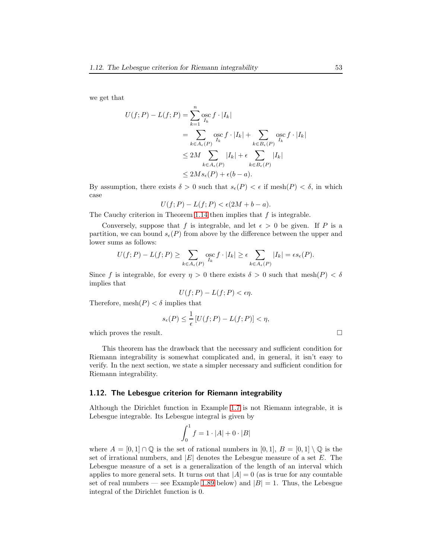we get that

$$
U(f; P) - L(f; P) = \sum_{k=1}^{n} \underset{I_k}{\operatorname{osc}} f \cdot |I_k|
$$
  
= 
$$
\sum_{k \in A_{\epsilon}(P)} \underset{I_k}{\operatorname{osc}} f \cdot |I_k| + \sum_{k \in B_{\epsilon}(P)} \underset{I_k}{\operatorname{osc}} f \cdot |I_k|
$$
  

$$
\leq 2M \sum_{k \in A_{\epsilon}(P)} |I_k| + \epsilon \sum_{k \in B_{\epsilon}(P)} |I_k|
$$
  

$$
\leq 2Ms_{\epsilon}(P) + \epsilon(b - a).
$$

By assumption, there exists  $\delta > 0$  such that  $s_{\epsilon}(P) < \epsilon$  if mesh $(P) < \delta$ , in which case

$$
U(f;P) - L(f;P) < \epsilon(2M + b - a).
$$

The Cauchy criterion in Theorem [1.14](#page-7-2) then implies that  $f$  is integrable.

Conversely, suppose that f is integrable, and let  $\epsilon > 0$  be given. If P is a partition, we can bound  $s_{\epsilon}(P)$  from above by the difference between the upper and lower sums as follows:

$$
U(f;P) - L(f;P) \ge \sum_{k \in A_{\epsilon}(P)} \operatorname*{osc}_{I_k} f \cdot |I_k| \ge \epsilon \sum_{k \in A_{\epsilon}(P)} |I_k| = \epsilon s_{\epsilon}(P).
$$

Since f is integrable, for every  $\eta > 0$  there exists  $\delta > 0$  such that mesh $(P) < \delta$ implies that

$$
U(f;P) - L(f;P) < \epsilon \eta.
$$

Therefore,  $\text{mesh}(P) < \delta$  implies that

$$
s_{\epsilon}(P) \le \frac{1}{\epsilon} \left[ U(f;P) - L(f;P) \right] < \eta,
$$

which proves the result.

This theorem has the drawback that the necessary and sufficient condition for Riemann integrability is somewhat complicated and, in general, it isn't easy to verify. In the next section, we state a simpler necessary and sufficient condition for Riemann integrability.

#### <span id="page-52-0"></span>1.12. The Lebesgue criterion for Riemann integrability

Although the Dirichlet function in Example [1.7](#page-5-1) is not Riemann integrable, it is Lebesgue integrable. Its Lebesgue integral is given by

$$
\int_0^1 f = 1 \cdot |A| + 0 \cdot |B|
$$

where  $A = [0, 1] \cap \mathbb{Q}$  is the set of rational numbers in  $[0, 1]$ ,  $B = [0, 1] \setminus \mathbb{Q}$  is the set of irrational numbers, and  $|E|$  denotes the Lebesgue measure of a set E. The Lebesgue measure of a set is a generalization of the length of an interval which applies to more general sets. It turns out that  $|A| = 0$  (as is true for any countable set of real numbers — see Example [1.89](#page-53-0) below) and  $|B| = 1$ . Thus, the Lebesgue integral of the Dirichlet function is 0.

$$
\mathcal{L}_{\mathcal{A}}
$$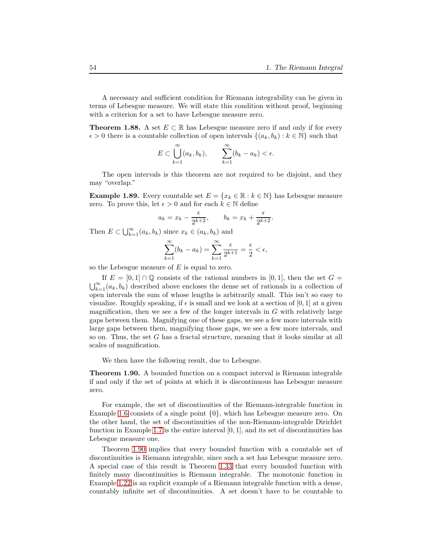A necessary and sufficient condition for Riemann integrability can be given in terms of Lebesgue measure. We will state this condition without proof, beginning with a criterion for a set to have Lebesgue measure zero.

**Theorem 1.88.** A set  $E \subset \mathbb{R}$  has Lebesgue measure zero if and only if for every  $\epsilon > 0$  there is a countable collection of open intervals  $\{(a_k, b_k) : k \in \mathbb{N}\}\$  such that

$$
E \subset \bigcup_{k=1}^{\infty} (a_k, b_k), \qquad \sum_{k=1}^{\infty} (b_k - a_k) < \epsilon.
$$

The open intervals is this theorem are not required to be disjoint, and they may "overlap."

<span id="page-53-0"></span>**Example 1.89.** Every countable set  $E = \{x_k \in \mathbb{R} : k \in \mathbb{N}\}\$  has Lebesgue measure zero. To prove this, let  $\epsilon > 0$  and for each  $k \in \mathbb{N}$  define

$$
a_k = x_k - \frac{\epsilon}{2^{k+2}}, \qquad b_k = x_k + \frac{\epsilon}{2^{k+2}}.
$$

Then  $E \subset \bigcup_{k=1}^{\infty} (a_k, b_k)$  since  $x_k \in (a_k, b_k)$  and

$$
\sum_{k=1}^{\infty} (b_k - a_k) = \sum_{k=1}^{\infty} \frac{\epsilon}{2^{k+1}} = \frac{\epsilon}{2} < \epsilon,
$$

so the Lebesgue measure of  $E$  is equal to zero.

If  $E = [0, 1] \cap \mathbb{Q}$  consists of the rational numbers in  $[0, 1]$ , then the set  $G = \bigcup_{k=1}^{\infty} (a_k, b_k)$  described above encloses the dense set of rationals in a collection of open intervals the sum of whose lengths is arbitrarily small. This isn't so easy to visualize. Roughly speaking, if  $\epsilon$  is small and we look at a section of [0, 1] at a given magnification, then we see a few of the longer intervals in  $G$  with relatively large gaps between them. Magnifying one of these gaps, we see a few more intervals with large gaps between them, magnifying those gaps, we see a few more intervals, and so on. Thus, the set G has a fractal structure, meaning that it looks similar at all scales of magnification.

We then have the following result, due to Lebesgue.

<span id="page-53-1"></span>Theorem 1.90. A bounded function on a compact interval is Riemann integrable if and only if the set of points at which it is discontinuous has Lebesgue measure zero.

For example, the set of discontinuities of the Riemann-integrable function in Example [1.6](#page-4-0) consists of a single point  $\{0\}$ , which has Lebesgue measure zero. On the other hand, the set of discontinuities of the non-Riemann-integrable Dirichlet function in Example [1.7](#page-5-1) is the entire interval  $[0, 1]$ , and its set of discontinuities has Lebesgue measure one.

Theorem [1.90](#page-53-1) implies that every bounded function with a countable set of discontinuities is Riemann integrable, since such a set has Lebesgue measure zero. A special case of this result is Theorem [1.33](#page-20-0) that every bounded function with finitely many discontinuities is Riemann integrable. The monotonic function in Example [1.22](#page-13-0) is an explicit example of a Riemann integrable function with a dense, countably infinite set of discontinuities. A set doesn't have to be countable to